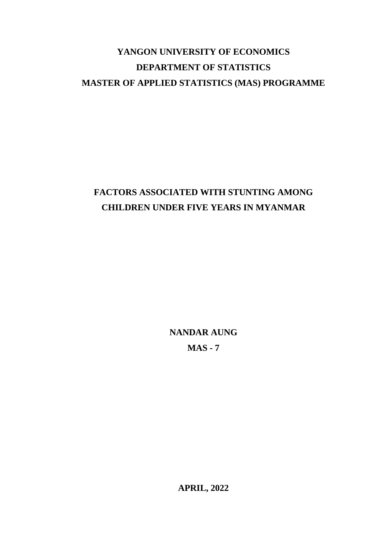# **YANGON UNIVERSITY OF ECONOMICS DEPARTMENT OF STATISTICS MASTER OF APPLIED STATISTICS (MAS) PROGRAMME**

# **FACTORS ASSOCIATED WITH STUNTING AMONG CHILDREN UNDER FIVE YEARS IN MYANMAR**

**NANDAR AUNG MAS - 7**

**APRIL, 2022**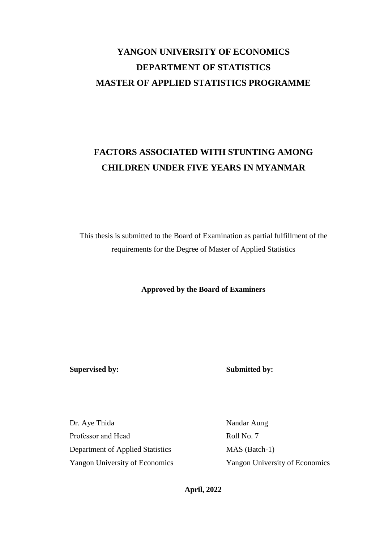# **YANGON UNIVERSITY OF ECONOMICS DEPARTMENT OF STATISTICS MASTER OF APPLIED STATISTICS PROGRAMME**

# **FACTORS ASSOCIATED WITH STUNTING AMONG CHILDREN UNDER FIVE YEARS IN MYANMAR**

This thesis is submitted to the Board of Examination as partial fulfillment of the requirements for the Degree of Master of Applied Statistics

**Approved by the Board of Examiners**

**Supervised by: Submitted by:**

Dr. Aye Thida Nandar Aung Professor and Head Roll No. 7 Department of Applied Statistics MAS (Batch-1) Yangon University of Economics Yangon University of Economics

**April, 2022**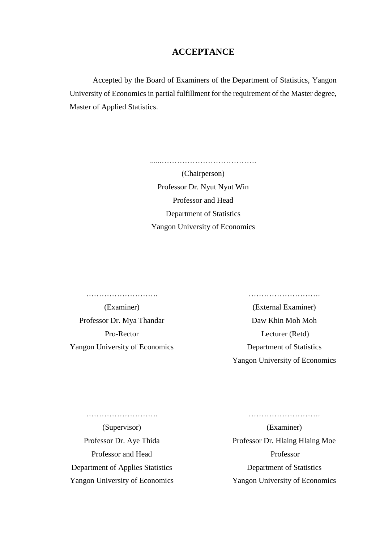# **ACCEPTANCE**

Accepted by the Board of Examiners of the Department of Statistics, Yangon University of Economics in partial fulfillment for the requirement of the Master degree, Master of Applied Statistics.

> (Chairperson) Professor Dr. Nyut Nyut Win Professor and Head Department of Statistics Yangon University of Economics

> ......……………………………….

………………………. ………………………. Professor Dr. Mya Thandar Daw Khin Moh Moh

(Examiner) (External Examiner) Pro-Rector Lecturer (Retd) Yangon University of Economics Department of Statistics Yangon University of Economics

Professor and Head Professor Department of Applies Statistics Department of Statistics

………………………. ……………………….

(Supervisor) (Examiner) Professor Dr. Aye Thida Professor Dr. Hlaing Hlaing Moe Yangon University of Economics Yangon University of Economics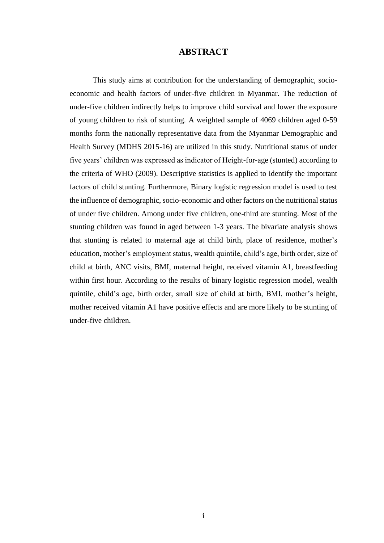## **ABSTRACT**

This study aims at contribution for the understanding of demographic, socioeconomic and health factors of under-five children in Myanmar. The reduction of under-five children indirectly helps to improve child survival and lower the exposure of young children to risk of stunting. A weighted sample of 4069 children aged 0-59 months form the nationally representative data from the Myanmar Demographic and Health Survey (MDHS 2015-16) are utilized in this study. Nutritional status of under five years' children was expressed as indicator of Height-for-age (stunted) according to the criteria of WHO (2009). Descriptive statistics is applied to identify the important factors of child stunting. Furthermore, Binary logistic regression model is used to test the influence of demographic, socio-economic and other factors on the nutritional status of under five children. Among under five children, one-third are stunting. Most of the stunting children was found in aged between 1-3 years. The bivariate analysis shows that stunting is related to maternal age at child birth, place of residence, mother's education, mother's employment status, wealth quintile, child's age, birth order, size of child at birth, ANC visits, BMI, maternal height, received vitamin A1, breastfeeding within first hour. According to the results of binary logistic regression model, wealth quintile, child's age, birth order, small size of child at birth, BMI, mother's height, mother received vitamin A1 have positive effects and are more likely to be stunting of under-five children.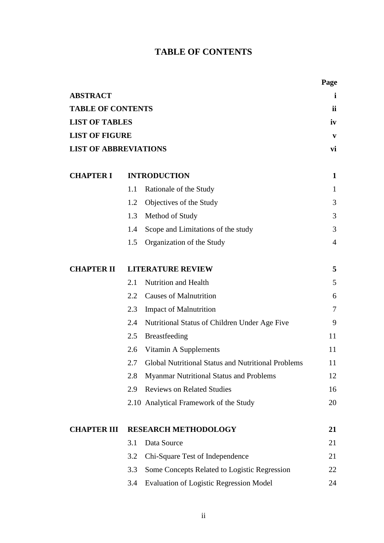# **TABLE OF CONTENTS**

| <b>INTRODUCTION</b>                                | i<br><i>ii</i><br>iv<br>V<br>vi<br>$\mathbf{1}$                          |
|----------------------------------------------------|--------------------------------------------------------------------------|
|                                                    |                                                                          |
|                                                    |                                                                          |
|                                                    |                                                                          |
|                                                    |                                                                          |
|                                                    |                                                                          |
|                                                    |                                                                          |
|                                                    | $\mathbf{1}$                                                             |
| Objectives of the Study                            | 3                                                                        |
| Method of Study                                    | 3                                                                        |
| Scope and Limitations of the study                 | 3                                                                        |
| Organization of the Study                          | $\overline{4}$                                                           |
| <b>LITERATURE REVIEW</b>                           | 5                                                                        |
| <b>Nutrition and Health</b>                        | 5                                                                        |
| <b>Causes of Malnutrition</b>                      | 6                                                                        |
| <b>Impact of Malnutrition</b>                      | 7                                                                        |
| Nutritional Status of Children Under Age Five      | 9                                                                        |
| Breastfeeding                                      | 11                                                                       |
| Vitamin A Supplements                              | 11                                                                       |
| Global Nutritional Status and Nutritional Problems | 11                                                                       |
| <b>Myanmar Nutritional Status and Problems</b>     | 12                                                                       |
| <b>Reviews on Related Studies</b>                  | 16                                                                       |
| 2.10 Analytical Framework of the Study             | 20                                                                       |
| <b>RESEARCH METHODOLOGY</b>                        | 21                                                                       |
|                                                    | 21                                                                       |
| Chi-Square Test of Independence                    | 21                                                                       |
| Some Concepts Related to Logistic Regression       | 22                                                                       |
|                                                    | 24                                                                       |
|                                                    | Rationale of the Study<br><b>Evaluation of Logistic Regression Model</b> |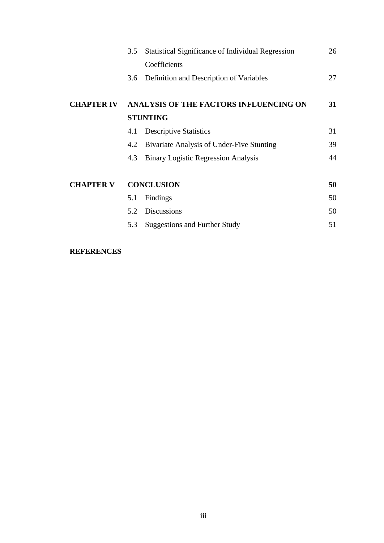|                   | 3.5 | Statistical Significance of Individual Regression |    |
|-------------------|-----|---------------------------------------------------|----|
|                   |     | Coefficients                                      |    |
|                   |     | 3.6 Definition and Description of Variables       | 27 |
| <b>CHAPTER IV</b> |     | ANALYSIS OF THE FACTORS INFLUENCING ON            | 31 |
|                   |     | <b>STUNTING</b>                                   |    |
|                   | 4.1 | <b>Descriptive Statistics</b>                     | 31 |
|                   | 4.2 | Bivariate Analysis of Under-Five Stunting         | 39 |
|                   | 4.3 | <b>Binary Logistic Regression Analysis</b>        | 44 |
| <b>CHAPTER V</b>  |     | <b>CONCLUSION</b>                                 | 50 |
|                   | 5.1 | Findings                                          | 50 |
|                   | 5.2 | <b>Discussions</b>                                | 50 |
|                   | 5.3 | <b>Suggestions and Further Study</b>              | 51 |
|                   |     |                                                   |    |

# **REFERENCES**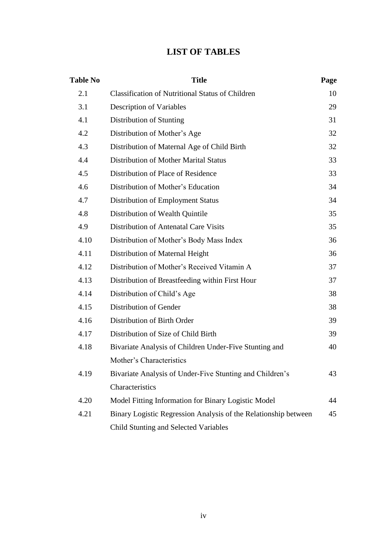# **LIST OF TABLES**

| <b>Table No</b> | <b>Title</b>                                                    | Page |
|-----------------|-----------------------------------------------------------------|------|
| 2.1             | <b>Classification of Nutritional Status of Children</b>         | 10   |
| 3.1             | Description of Variables                                        | 29   |
| 4.1             | Distribution of Stunting                                        | 31   |
| 4.2             | Distribution of Mother's Age                                    | 32   |
| 4.3             | Distribution of Maternal Age of Child Birth                     | 32   |
| 4.4             | <b>Distribution of Mother Marital Status</b>                    | 33   |
| 4.5             | Distribution of Place of Residence                              | 33   |
| 4.6             | Distribution of Mother's Education                              | 34   |
| 4.7             | Distribution of Employment Status                               | 34   |
| 4.8             | Distribution of Wealth Quintile                                 | 35   |
| 4.9             | Distribution of Antenatal Care Visits                           | 35   |
| 4.10            | Distribution of Mother's Body Mass Index                        | 36   |
| 4.11            | Distribution of Maternal Height                                 | 36   |
| 4.12            | Distribution of Mother's Received Vitamin A                     | 37   |
| 4.13            | Distribution of Breastfeeding within First Hour                 | 37   |
| 4.14            | Distribution of Child's Age                                     | 38   |
| 4.15            | Distribution of Gender                                          | 38   |
| 4.16            | Distribution of Birth Order                                     | 39   |
| 4.17            | Distribution of Size of Child Birth                             | 39   |
| 4.18            | Bivariate Analysis of Children Under-Five Stunting and          | 40   |
|                 | Mother's Characteristics                                        |      |
| 4.19            | Bivariate Analysis of Under-Five Stunting and Children's        | 43   |
|                 | Characteristics                                                 |      |
| 4.20            | Model Fitting Information for Binary Logistic Model             | 44   |
| 4.21            | Binary Logistic Regression Analysis of the Relationship between | 45   |
|                 | <b>Child Stunting and Selected Variables</b>                    |      |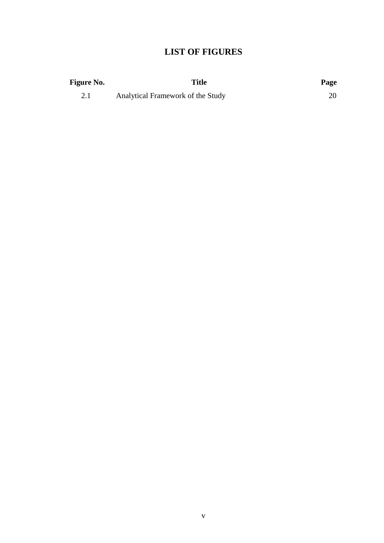# **LIST OF FIGURES**

| <b>Figure No.</b> | Title                             | Page |
|-------------------|-----------------------------------|------|
|                   | Analytical Framework of the Study |      |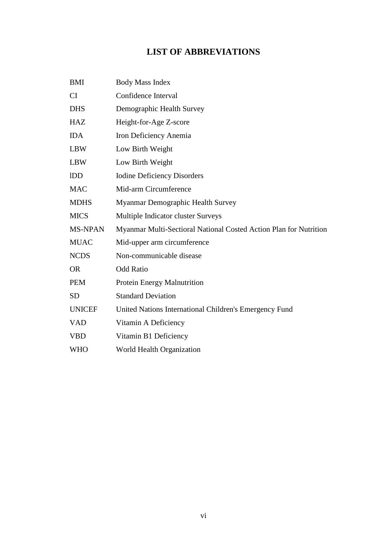# **LIST OF ABBREVIATIONS**

| <b>BMI</b>     | <b>Body Mass Index</b>                                            |
|----------------|-------------------------------------------------------------------|
| CI             | Confidence Interval                                               |
| <b>DHS</b>     | Demographic Health Survey                                         |
| <b>HAZ</b>     | Height-for-Age Z-score                                            |
| <b>IDA</b>     | Iron Deficiency Anemia                                            |
| <b>LBW</b>     | Low Birth Weight                                                  |
| <b>LBW</b>     | Low Birth Weight                                                  |
| <b>IDD</b>     | <b>Iodine Deficiency Disorders</b>                                |
| <b>MAC</b>     | Mid-arm Circumference                                             |
| <b>MDHS</b>    | Myanmar Demographic Health Survey                                 |
| <b>MICS</b>    | Multiple Indicator cluster Surveys                                |
| <b>MS-NPAN</b> | Myanmar Multi-Sectioral National Costed Action Plan for Nutrition |
| <b>MUAC</b>    | Mid-upper arm circumference                                       |
| <b>NCDS</b>    | Non-communicable disease                                          |
| <b>OR</b>      | <b>Odd Ratio</b>                                                  |
| <b>PEM</b>     | Protein Energy Malnutrition                                       |
| <b>SD</b>      | <b>Standard Deviation</b>                                         |
| <b>UNICEF</b>  | United Nations International Children's Emergency Fund            |
| <b>VAD</b>     | Vitamin A Deficiency                                              |
| <b>VBD</b>     | Vitamin B1 Deficiency                                             |
| <b>WHO</b>     | World Health Organization                                         |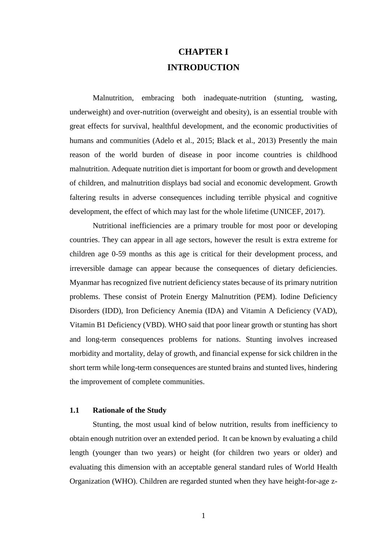# **CHAPTER I INTRODUCTION**

Malnutrition, embracing both inadequate-nutrition (stunting, wasting, underweight) and over-nutrition (overweight and obesity), is an essential trouble with great effects for survival, healthful development, and the economic productivities of humans and communities (Adelo et al., 2015; Black et al., 2013) Presently the main reason of the world burden of disease in poor income countries is childhood malnutrition. Adequate nutrition diet is important for boom or growth and development of children, and malnutrition displays bad social and economic development. Growth faltering results in adverse consequences including terrible physical and cognitive development, the effect of which may last for the whole lifetime (UNICEF, 2017).

Nutritional inefficiencies are a primary trouble for most poor or developing countries. They can appear in all age sectors, however the result is extra extreme for children age 0-59 months as this age is critical for their development process, and irreversible damage can appear because the consequences of dietary deficiencies. Myanmar has recognized five nutrient deficiency states because of its primary nutrition problems. These consist of Protein Energy Malnutrition (PEM). Iodine Deficiency Disorders (IDD), Iron Deficiency Anemia (IDA) and Vitamin A Deficiency (VAD), Vitamin B1 Deficiency (VBD). WHO said that poor linear growth or stunting has short and long-term consequences problems for nations. Stunting involves increased morbidity and mortality, delay of growth, and financial expense for sick children in the short term while long-term consequences are stunted brains and stunted lives, hindering the improvement of complete communities.

#### **1.1 Rationale of the Study**

Stunting, the most usual kind of below nutrition, results from inefficiency to obtain enough nutrition over an extended period. It can be known by evaluating a child length (younger than two years) or height (for children two years or older) and evaluating this dimension with an acceptable general standard rules of World Health Organization (WHO). Children are regarded stunted when they have height-for-age z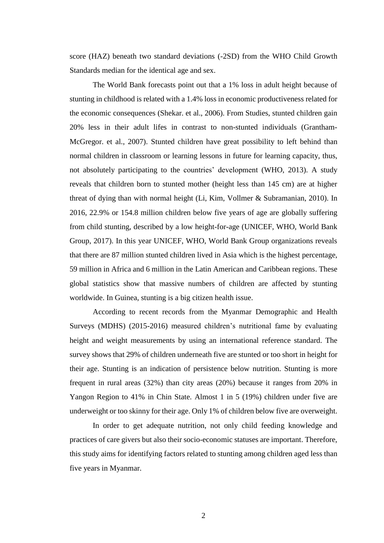score (HAZ) beneath two standard deviations (-2SD) from the WHO Child Growth Standards median for the identical age and sex.

The World Bank forecasts point out that a 1% loss in adult height because of stunting in childhood is related with a 1.4% loss in economic productiveness related for the economic consequences (Shekar. et al., 2006). From Studies, stunted children gain 20% less in their adult lifes in contrast to non-stunted individuals (Grantham-McGregor. et al., 2007). Stunted children have great possibility to left behind than normal children in classroom or learning lessons in future for learning capacity, thus, not absolutely participating to the countries' development (WHO, 2013). A study reveals that children born to stunted mother (height less than 145 cm) are at higher threat of dying than with normal height (Li, Kim, Vollmer & Subramanian, 2010). In 2016, 22.9% or 154.8 million children below five years of age are globally suffering from child stunting, described by a low height-for-age (UNICEF, WHO, World Bank Group, 2017). In this year UNICEF, WHO, World Bank Group organizations reveals that there are 87 million stunted children lived in Asia which is the highest percentage, 59 million in Africa and 6 million in the Latin American and Caribbean regions. These global statistics show that massive numbers of children are affected by stunting worldwide. In Guinea, stunting is a big citizen health issue.

According to recent records from the Myanmar Demographic and Health Surveys (MDHS) (2015-2016) measured children's nutritional fame by evaluating height and weight measurements by using an international reference standard. The survey shows that 29% of children underneath five are stunted or too short in height for their age. Stunting is an indication of persistence below nutrition. Stunting is more frequent in rural areas (32%) than city areas (20%) because it ranges from 20% in Yangon Region to 41% in Chin State. Almost 1 in 5 (19%) children under five are underweight or too skinny for their age. Only 1% of children below five are overweight.

In order to get adequate nutrition, not only child feeding knowledge and practices of care givers but also their socio-economic statuses are important. Therefore, this study aims for identifying factors related to stunting among children aged less than five years in Myanmar.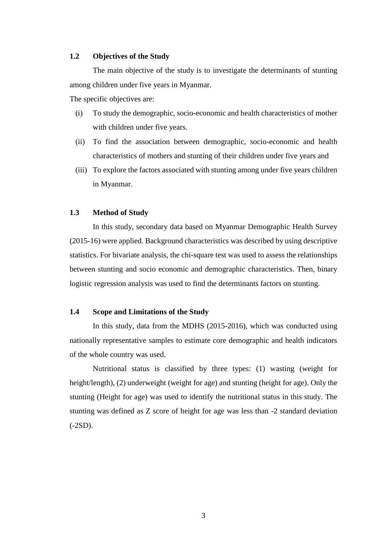### **1.2 Objectives of the Study**

The main objective of the study is to investigate the determinants of stunting among children under five years in Myanmar.

The specific objectives are:

- (i) To study the demographic, socio-economic and health characteristics of mother with children under five years.
- (ii) To find the association between demographic, socio-economic and health characteristics of mothers and stunting of their children under five years and
- (iii) To explore the factors associated with stunting among under five years children in Myanmar.

#### **1.3 Method of Study**

In this study, secondary data based on Myanmar Demographic Health Survey (2015-16) were applied. Background characteristics was described by using descriptive statistics. For bivariate analysis, the chi-square test was used to assess the relationships between stunting and socio economic and demographic characteristics. Then, binary logistic regression analysis was used to find the determinants factors on stunting.

#### **1.4 Scope and Limitations of the Study**

In this study, data from the MDHS (2015-2016), which was conducted using nationally representative samples to estimate core demographic and health indicators of the whole country was used.

Nutritional status is classified by three types: (1) wasting (weight for height/length), (2) underweight (weight for age) and stunting (height for age). Only the stunting (Height for age) was used to identify the nutritional status in this study. The stunting was defined as Z score of height for age was less than -2 standard deviation (-2SD).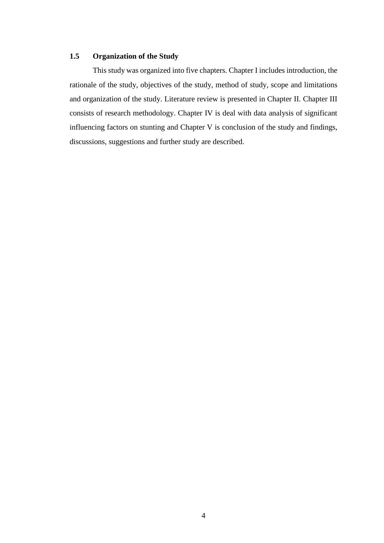# **1.5 Organization of the Study**

This study was organized into five chapters. Chapter I includes introduction, the rationale of the study, objectives of the study, method of study, scope and limitations and organization of the study. Literature review is presented in Chapter II. Chapter III consists of research methodology. Chapter IV is deal with data analysis of significant influencing factors on stunting and Chapter V is conclusion of the study and findings, discussions, suggestions and further study are described.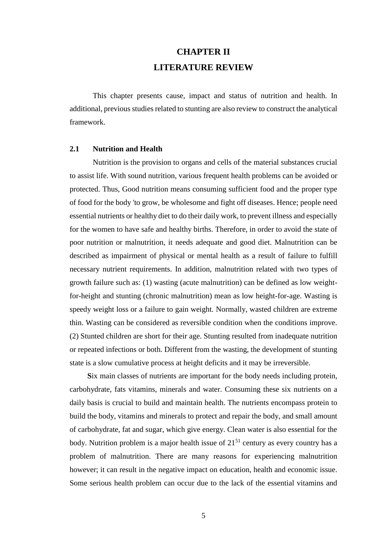# **CHAPTER II LITERATURE REVIEW**

This chapter presents cause, impact and status of nutrition and health. In additional, previous studies related to stunting are also review to construct the analytical framework.

### **2.1 Nutrition and Health**

Nutrition is the provision to organs and cells of the material substances crucial to assist life. With sound nutrition, various frequent health problems can be avoided or protected. Thus, Good nutrition means consuming sufficient food and the proper type of food for the body 'to grow, be wholesome and fight off diseases. Hence; people need essential nutrients or healthy diet to do their daily work, to prevent illness and especially for the women to have safe and healthy births. Therefore, in order to avoid the state of poor nutrition or malnutrition, it needs adequate and good diet. Malnutrition can be described as impairment of physical or mental health as a result of failure to fulfill necessary nutrient requirements. In addition, malnutrition related with two types of growth failure such as: (1) wasting (acute malnutrition) can be defined as low weightfor-height and stunting (chronic malnutrition) mean as low height-for-age. Wasting is speedy weight loss or a failure to gain weight. Normally, wasted children are extreme thin. Wasting can be considered as reversible condition when the conditions improve. (2) Stunted children are short for their age. Stunting resulted from inadequate nutrition or repeated infections or both. Different from the wasting, the development of stunting state is a slow cumulative process at height deficits and it may be irreversible.

**S**ix main classes of nutrients are important for the body needs including protein, carbohydrate, fats vitamins, minerals and water. Consuming these six nutrients on a daily basis is crucial to build and maintain health. The nutrients encompass protein to build the body, vitamins and minerals to protect and repair the body, and small amount of carbohydrate, fat and sugar, which give energy. Clean water is also essential for the body. Nutrition problem is a major health issue of  $21<sup>51</sup>$  century as every country has a problem of malnutrition. There are many reasons for experiencing malnutrition however; it can result in the negative impact on education, health and economic issue. Some serious health problem can occur due to the lack of the essential vitamins and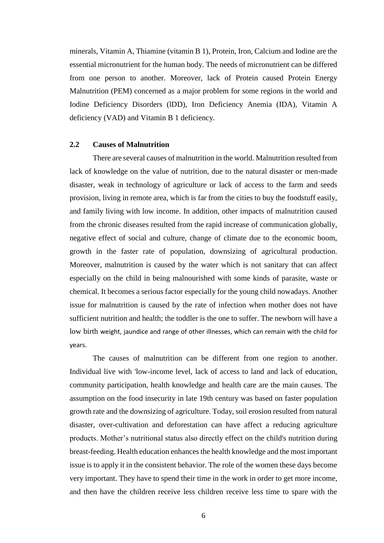minerals, Vitamin A, Thiamine (vitamin B 1), Protein, Iron, Calcium and Iodine are the essential micronutrient for the human body. The needs of micronutrient can be differed from one person to another. Moreover, lack of Protein caused Protein Energy Malnutrition (PEM) concerned as a major problem for some regions in the world and Iodine Deficiency Disorders (lDD), Iron Deficiency Anemia (IDA), Vitamin A deficiency (VAD) and Vitamin B 1 deficiency.

#### **2.2 Causes of Malnutrition**

There are several causes of malnutrition in the world. Malnutrition resulted from lack of knowledge on the value of nutrition, due to the natural disaster or men-made disaster, weak in technology of agriculture or lack of access to the farm and seeds provision, living in remote area, which is far from the cities to buy the foodstuff easily, and family living with low income. In addition, other impacts of malnutrition caused from the chronic diseases resulted from the rapid increase of communication globally, negative effect of social and culture, change of climate due to the economic boom, growth in the faster rate of population, downsizing of agricultural production. Moreover, malnutrition is caused by the water which is not sanitary that can affect especially on the child in being malnourished with some kinds of parasite, waste or chemical. It becomes a serious factor especially for the young child nowadays. Another issue for malnutrition is caused by the rate of infection when mother does not have sufficient nutrition and health; the toddler is the one to suffer. The newborn will have a low birth weight, jaundice and range of other illnesses, which can remain with the child for years.

The causes of malnutrition can be different from one region to another. Individual live with 'low-income level, lack of access to land and lack of education, community participation, health knowledge and health care are the main causes. The assumption on the food insecurity in late 19th century was based on faster population growth rate and the downsizing of agriculture. Today, soil erosion resulted from natural disaster, over-cultivation and deforestation can have affect a reducing agriculture products. Mother's nutritional status also directly effect on the child's nutrition during breast-feeding. Health education enhances the health knowledge and the most important issue is to apply it in the consistent behavior. The role of the women these days become very important. They have to spend their time in the work in order to get more income, and then have the children receive less children receive less time to spare with the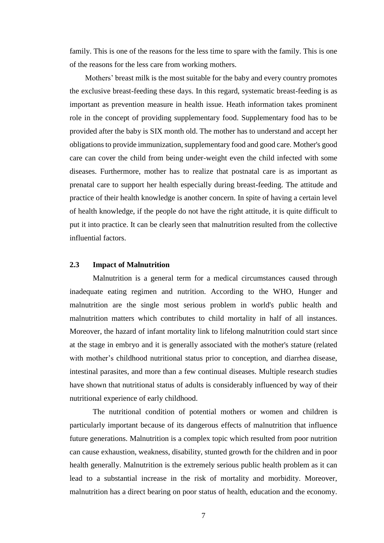family. This is one of the reasons for the less time to spare with the family. This is one of the reasons for the less care from working mothers.

 Mothers' breast milk is the most suitable for the baby and every country promotes the exclusive breast-feeding these days. In this regard, systematic breast-feeding is as important as prevention measure in health issue. Heath information takes prominent role in the concept of providing supplementary food. Supplementary food has to be provided after the baby is SIX month old. The mother has to understand and accept her obligations to provide immunization, supplementary food and good care. Mother's good care can cover the child from being under-weight even the child infected with some diseases. Furthermore, mother has to realize that postnatal care is as important as prenatal care to support her health especially during breast-feeding. The attitude and practice of their health knowledge is another concern. In spite of having a certain level of health knowledge, if the people do not have the right attitude, it is quite difficult to put it into practice. It can be clearly seen that malnutrition resulted from the collective influential factors.

### **2.3 Impact of Malnutrition**

Malnutrition is a general term for a medical circumstances caused through inadequate eating regimen and nutrition. According to the WHO, Hunger and malnutrition are the single most serious problem in world's public health and malnutrition matters which contributes to child mortality in half of all instances. Moreover, the hazard of infant mortality link to lifelong malnutrition could start since at the stage in embryo and it is generally associated with the mother's stature (related with mother's childhood nutritional status prior to conception, and diarrhea disease, intestinal parasites, and more than a few continual diseases. Multiple research studies have shown that nutritional status of adults is considerably influenced by way of their nutritional experience of early childhood.

The nutritional condition of potential mothers or women and children is particularly important because of its dangerous effects of malnutrition that influence future generations. Malnutrition is a complex topic which resulted from poor nutrition can cause exhaustion, weakness, disability, stunted growth for the children and in poor health generally. Malnutrition is the extremely serious public health problem as it can lead to a substantial increase in the risk of mortality and morbidity. Moreover, malnutrition has a direct bearing on poor status of health, education and the economy.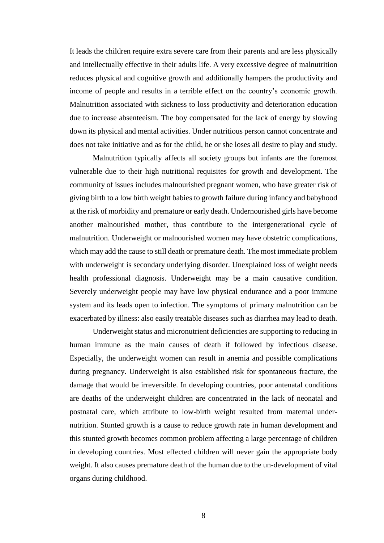It leads the children require extra severe care from their parents and are less physically and intellectually effective in their adults life. A very excessive degree of malnutrition reduces physical and cognitive growth and additionally hampers the productivity and income of people and results in a terrible effect on the country's economic growth. Malnutrition associated with sickness to loss productivity and deterioration education due to increase absenteeism. The boy compensated for the lack of energy by slowing down its physical and mental activities. Under nutritious person cannot concentrate and does not take initiative and as for the child, he or she loses all desire to play and study.

 Malnutrition typically affects all society groups but infants are the foremost vulnerable due to their high nutritional requisites for growth and development. The community of issues includes malnourished pregnant women, who have greater risk of giving birth to a low birth weight babies to growth failure during infancy and babyhood at the risk of morbidity and premature or early death. Undernourished girls have become another malnourished mother, thus contribute to the intergenerational cycle of malnutrition. Underweight or malnourished women may have obstetric complications, which may add the cause to still death or premature death. The most immediate problem with underweight is secondary underlying disorder. Unexplained loss of weight needs health professional diagnosis. Underweight may be a main causative condition. Severely underweight people may have low physical endurance and a poor immune system and its leads open to infection. The symptoms of primary malnutrition can be exacerbated by illness: also easily treatable diseases such as diarrhea may lead to death.

Underweight status and micronutrient deficiencies are supporting to reducing in human immune as the main causes of death if followed by infectious disease. Especially, the underweight women can result in anemia and possible complications during pregnancy. Underweight is also established risk for spontaneous fracture, the damage that would be irreversible. In developing countries, poor antenatal conditions are deaths of the underweight children are concentrated in the lack of neonatal and postnatal care, which attribute to low-birth weight resulted from maternal undernutrition. Stunted growth is a cause to reduce growth rate in human development and this stunted growth becomes common problem affecting a large percentage of children in developing countries. Most effected children will never gain the appropriate body weight. It also causes premature death of the human due to the un-development of vital organs during childhood.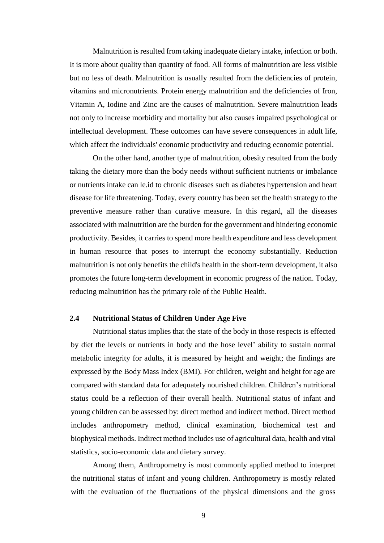Malnutrition is resulted from taking inadequate dietary intake, infection or both. It is more about quality than quantity of food. All forms of malnutrition are less visible but no less of death. Malnutrition is usually resulted from the deficiencies of protein, vitamins and micronutrients. Protein energy malnutrition and the deficiencies of Iron, Vitamin A, Iodine and Zinc are the causes of malnutrition. Severe malnutrition leads not only to increase morbidity and mortality but also causes impaired psychological or intellectual development. These outcomes can have severe consequences in adult life, which affect the individuals' economic productivity and reducing economic potential.

On the other hand, another type of malnutrition, obesity resulted from the body taking the dietary more than the body needs without sufficient nutrients or imbalance or nutrients intake can le.id to chronic diseases such as diabetes hypertension and heart disease for life threatening. Today, every country has been set the health strategy to the preventive measure rather than curative measure. In this regard, all the diseases associated with malnutrition are the burden for the government and hindering economic productivity. Besides, it carries to spend more health expenditure and less development in human resource that poses to interrupt the economy substantially. Reduction malnutrition is not only benefits the child's health in the short-term development, it also promotes the future long-term development in economic progress of the nation. Today, reducing malnutrition has the primary role of the Public Health.

# **2.4 Nutritional Status of Children Under Age Five**

Nutritional status implies that the state of the body in those respects is effected by diet the levels or nutrients in body and the hose level' ability to sustain normal metabolic integrity for adults, it is measured by height and weight; the findings are expressed by the Body Mass Index (BMI). For children, weight and height for age are compared with standard data for adequately nourished children. Children's nutritional status could be a reflection of their overall health. Nutritional status of infant and young children can be assessed by: direct method and indirect method. Direct method includes anthropometry method, clinical examination, biochemical test and biophysical methods. Indirect method includes use of agricultural data, health and vital statistics, socio-economic data and dietary survey.

Among them, Anthropometry is most commonly applied method to interpret the nutritional status of infant and young children. Anthropometry is mostly related with the evaluation of the fluctuations of the physical dimensions and the gross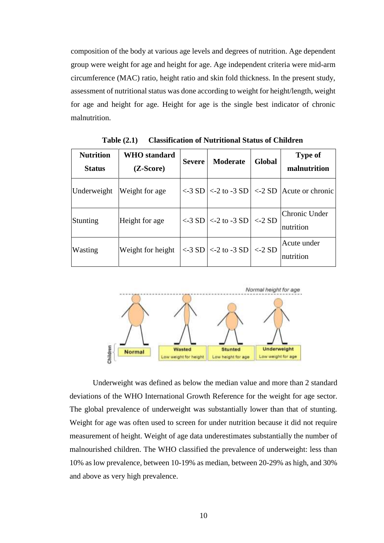composition of the body at various age levels and degrees of nutrition. Age dependent group were weight for age and height for age. Age independent criteria were mid-arm circumference (MAC) ratio, height ratio and skin fold thickness. In the present study, assessment of nutritional status was done according to weight for height/length, weight for age and height for age. Height for age is the single best indicator of chronic malnutrition.

| <b>Nutrition</b><br><b>Status</b> | <b>WHO</b> standard<br>$(Z-Score)$ | <b>Severe</b>  | <b>Moderate</b>                 | Global         | <b>Type of</b><br>malnutrition     |
|-----------------------------------|------------------------------------|----------------|---------------------------------|----------------|------------------------------------|
| Underweight                       | Weight for age                     |                | $\langle -3 SD  $ < -2 to -3 SD |                | $\langle$ -2 SD   Acute or chronic |
| Stunting                          | Height for age                     |                | $\langle -3 SD  $ < -2 to -3 SD | $\langle -2SD$ | Chronic Under<br>nutrition         |
| Wasting                           | Weight for height                  | $\langle -3SD$ | $\langle$ -2 to -3 SD           | $<$ -2 SD      | Acute under<br>nutrition           |

**Table (2.1) Classification of Nutritional Status of Children**



Underweight was defined as below the median value and more than 2 standard deviations of the WHO International Growth Reference for the weight for age sector. The global prevalence of underweight was substantially lower than that of stunting. Weight for age was often used to screen for under nutrition because it did not require measurement of height. Weight of age data underestimates substantially the number of malnourished children. The WHO classified the prevalence of underweight: less than 10% as low prevalence, between 10-19% as median, between 20-29% as high, and 30% and above as very high prevalence.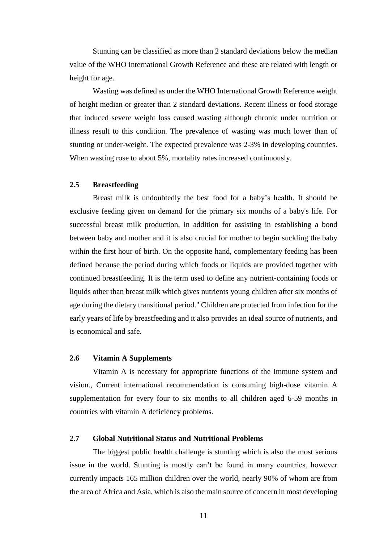Stunting can be classified as more than 2 standard deviations below the median value of the WHO International Growth Reference and these are related with length or height for age.

Wasting was defined as under the WHO International Growth Reference weight of height median or greater than 2 standard deviations. Recent illness or food storage that induced severe weight loss caused wasting although chronic under nutrition or illness result to this condition. The prevalence of wasting was much lower than of stunting or under-weight. The expected prevalence was 2-3% in developing countries. When wasting rose to about 5%, mortality rates increased continuously.

# **2.5 Breastfeeding**

Breast milk is undoubtedly the best food for a baby's health. It should be exclusive feeding given on demand for the primary six months of a baby's life. For successful breast milk production, in addition for assisting in establishing a bond between baby and mother and it is also crucial for mother to begin suckling the baby within the first hour of birth. On the opposite hand, complementary feeding has been defined because the period during which foods or liquids are provided together with continued breastfeeding. It is the term used to define any nutrient-containing foods or liquids other than breast milk which gives nutrients young children after six months of age during the dietary transitional period." Children are protected from infection for the early years of life by breastfeeding and it also provides an ideal source of nutrients, and is economical and safe.

### **2.6 Vitamin A Supplements**

Vitamin A is necessary for appropriate functions of the Immune system and vision., Current international recommendation is consuming high-dose vitamin A supplementation for every four to six months to all children aged 6-59 months in countries with vitamin A deficiency problems.

# **2.7 Global Nutritional Status and Nutritional Problems**

The biggest public health challenge is stunting which is also the most serious issue in the world. Stunting is mostly can't be found in many countries, however currently impacts 165 million children over the world, nearly 90% of whom are from the area of Africa and Asia, which is also the main source of concern in most developing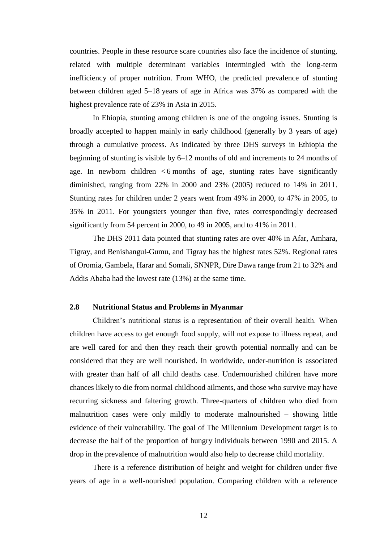countries. People in these resource scare countries also face the incidence of stunting, related with multiple determinant variables intermingled with the long-term inefficiency of proper nutrition. From WHO, the predicted prevalence of stunting between children aged 5–18 years of age in Africa was 37% as compared with the highest prevalence rate of 23% in Asia in 2015.

In Ehiopia, stunting among children is one of the ongoing issues. Stunting is broadly accepted to happen mainly in early childhood (generally by 3 years of age) through a cumulative process. As indicated by three DHS surveys in Ethiopia the beginning of stunting is visible by 6–12 months of old and increments to 24 months of age. In newborn children  $< 6$  months of age, stunting rates have significantly diminished, ranging from 22% in 2000 and 23% (2005) reduced to 14% in 2011. Stunting rates for children under 2 years went from 49% in 2000, to 47% in 2005, to 35% in 2011. For youngsters younger than five, rates correspondingly decreased significantly from 54 percent in 2000, to 49 in 2005, and to 41% in 2011.

The DHS 2011 data pointed that stunting rates are over 40% in Afar, Amhara, Tigray, and Benishangul-Gumu, and Tigray has the highest rates 52%. Regional rates of Oromia, Gambela, Harar and Somali, SNNPR, Dire Dawa range from 21 to 32% and Addis Ababa had the lowest rate (13%) at the same time.

### **2.8 Nutritional Status and Problems in Myanmar**

Children's nutritional status is a representation of their overall health. When children have access to get enough food supply, will not expose to illness repeat, and are well cared for and then they reach their growth potential normally and can be considered that they are well nourished. In worldwide, under-nutrition is associated with greater than half of all child deaths case. Undernourished children have more chances likely to die from normal childhood ailments, and those who survive may have recurring sickness and faltering growth. Three-quarters of children who died from malnutrition cases were only mildly to moderate malnourished – showing little evidence of their vulnerability. The goal of The Millennium Development target is to decrease the half of the proportion of hungry individuals between 1990 and 2015. A drop in the prevalence of malnutrition would also help to decrease child mortality.

There is a reference distribution of height and weight for children under five years of age in a well-nourished population. Comparing children with a reference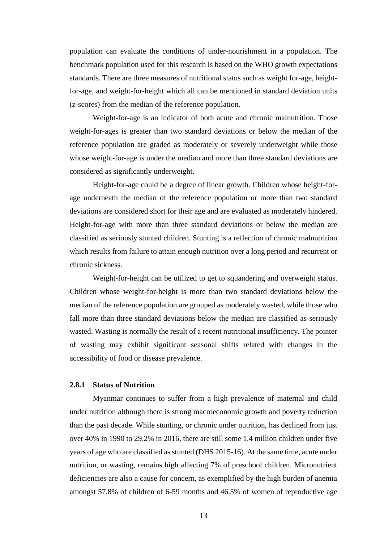population can evaluate the conditions of under-nourishment in a population. The benchmark population used for this research is based on the WHO growth expectations standards. There are three measures of nutritional status such as weight for-age, heightfor-age, and weight-for-height which all can be mentioned in standard deviation units (z-scores) from the median of the reference population.

Weight-for-age is an indicator of both acute and chronic malnutrition. Those weight-for-ages is greater than two standard deviations or below the median of the reference population are graded as moderately or severely underweight while those whose weight-for-age is under the median and more than three standard deviations are considered as significantly underweight.

Height-for-age could be a degree of linear growth. Children whose height-forage underneath the median of the reference population or more than two standard deviations are considered short for their age and are evaluated as moderately hindered. Height-for-age with more than three standard deviations or below the median are classified as seriously stunted children. Stunting is a reflection of chronic malnutrition which results from failure to attain enough nutrition over a long period and recurrent or chronic sickness.

Weight-for-height can be utilized to get to squandering and overweight status. Children whose weight-for-height is more than two standard deviations below the median of the reference population are grouped as moderately wasted, while those who fall more than three standard deviations below the median are classified as seriously wasted. Wasting is normally the result of a recent nutritional insufficiency. The pointer of wasting may exhibit significant seasonal shifts related with changes in the accessibility of food or disease prevalence.

## **2.8.1 Status of Nutrition**

Myanmar continues to suffer from a high prevalence of maternal and child under nutrition although there is strong macroeconomic growth and poverty reduction than the past decade. While stunting, or chronic under nutrition, has declined from just over 40% in 1990 to 29.2% in 2016, there are still some 1.4 million children under five years of age who are classified as stunted (DHS 2015-16). At the same time, acute under nutrition, or wasting, remains high affecting 7% of preschool children. Micronutrient deficiencies are also a cause for concern, as exemplified by the high burden of anemia amongst 57.8% of children of 6-59 months and 46.5% of women of reproductive age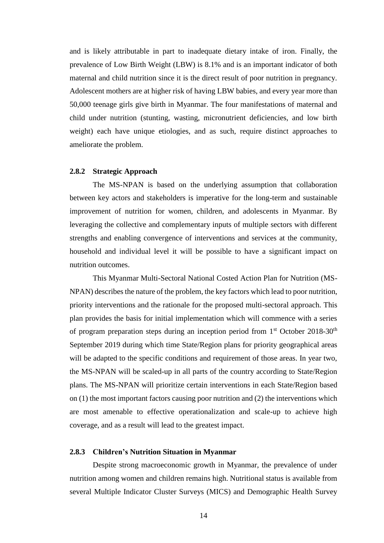and is likely attributable in part to inadequate dietary intake of iron. Finally, the prevalence of Low Birth Weight (LBW) is 8.1% and is an important indicator of both maternal and child nutrition since it is the direct result of poor nutrition in pregnancy. Adolescent mothers are at higher risk of having LBW babies, and every year more than 50,000 teenage girls give birth in Myanmar. The four manifestations of maternal and child under nutrition (stunting, wasting, micronutrient deficiencies, and low birth weight) each have unique etiologies, and as such, require distinct approaches to ameliorate the problem.

### **2.8.2 Strategic Approach**

The MS-NPAN is based on the underlying assumption that collaboration between key actors and stakeholders is imperative for the long-term and sustainable improvement of nutrition for women, children, and adolescents in Myanmar. By leveraging the collective and complementary inputs of multiple sectors with different strengths and enabling convergence of interventions and services at the community, household and individual level it will be possible to have a significant impact on nutrition outcomes.

This Myanmar Multi-Sectoral National Costed Action Plan for Nutrition (MS-NPAN) describes the nature of the problem, the key factors which lead to poor nutrition, priority interventions and the rationale for the proposed multi-sectoral approach. This plan provides the basis for initial implementation which will commence with a series of program preparation steps during an inception period from  $1<sup>st</sup>$  October 2018-30<sup>th</sup> September 2019 during which time State/Region plans for priority geographical areas will be adapted to the specific conditions and requirement of those areas. In year two, the MS-NPAN will be scaled-up in all parts of the country according to State/Region plans. The MS-NPAN will prioritize certain interventions in each State/Region based on (1) the most important factors causing poor nutrition and (2) the interventions which are most amenable to effective operationalization and scale-up to achieve high coverage, and as a result will lead to the greatest impact.

#### **2.8.3 Children's Nutrition Situation in Myanmar**

Despite strong macroeconomic growth in Myanmar, the prevalence of under nutrition among women and children remains high. Nutritional status is available from several Multiple Indicator Cluster Surveys (MICS) and Demographic Health Survey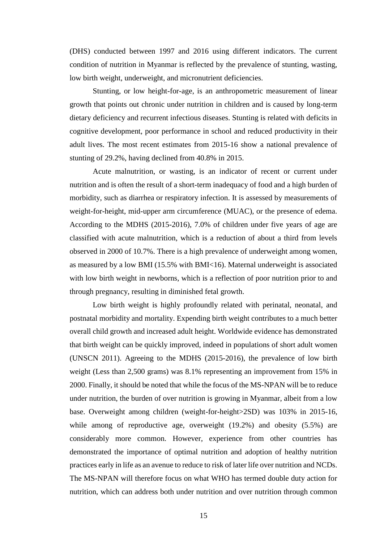(DHS) conducted between 1997 and 2016 using different indicators. The current condition of nutrition in Myanmar is reflected by the prevalence of stunting, wasting, low birth weight, underweight, and micronutrient deficiencies.

Stunting, or low height-for-age, is an anthropometric measurement of linear growth that points out chronic under nutrition in children and is caused by long-term dietary deficiency and recurrent infectious diseases. Stunting is related with deficits in cognitive development, poor performance in school and reduced productivity in their adult lives. The most recent estimates from 2015-16 show a national prevalence of stunting of 29.2%, having declined from 40.8% in 2015.

Acute malnutrition, or wasting, is an indicator of recent or current under nutrition and is often the result of a short-term inadequacy of food and a high burden of morbidity, such as diarrhea or respiratory infection. It is assessed by measurements of weight-for-height, mid-upper arm circumference (MUAC), or the presence of edema. According to the MDHS (2015-2016), 7.0% of children under five years of age are classified with acute malnutrition, which is a reduction of about a third from levels observed in 2000 of 10.7%. There is a high prevalence of underweight among women, as measured by a low BMI (15.5% with BMI<16). Maternal underweight is associated with low birth weight in newborns, which is a reflection of poor nutrition prior to and through pregnancy, resulting in diminished fetal growth.

Low birth weight is highly profoundly related with perinatal, neonatal, and postnatal morbidity and mortality. Expending birth weight contributes to a much better overall child growth and increased adult height. Worldwide evidence has demonstrated that birth weight can be quickly improved, indeed in populations of short adult women (UNSCN 2011). Agreeing to the MDHS (2015-2016), the prevalence of low birth weight (Less than 2,500 grams) was 8.1% representing an improvement from 15% in 2000. Finally, it should be noted that while the focus of the MS-NPAN will be to reduce under nutrition, the burden of over nutrition is growing in Myanmar, albeit from a low base. Overweight among children (weight-for-height>2SD) was 103% in 2015-16, while among of reproductive age, overweight (19.2%) and obesity (5.5%) are considerably more common. However, experience from other countries has demonstrated the importance of optimal nutrition and adoption of healthy nutrition practices early in life as an avenue to reduce to risk of later life over nutrition and NCDs. The MS-NPAN will therefore focus on what WHO has termed double duty action for nutrition, which can address both under nutrition and over nutrition through common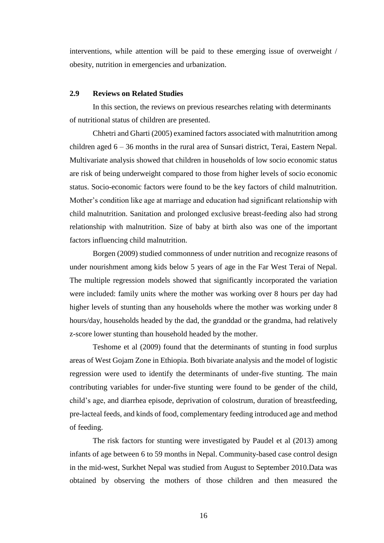interventions, while attention will be paid to these emerging issue of overweight / obesity, nutrition in emergencies and urbanization.

### **2.9 Reviews on Related Studies**

In this section, the reviews on previous researches relating with determinants of nutritional status of children are presented.

Chhetri and Gharti (2005) examined factors associated with malnutrition among children aged 6 – 36 months in the rural area of Sunsari district, Terai, Eastern Nepal. Multivariate analysis showed that children in households of low socio economic status are risk of being underweight compared to those from higher levels of socio economic status. Socio-economic factors were found to be the key factors of child malnutrition. Mother's condition like age at marriage and education had significant relationship with child malnutrition. Sanitation and prolonged exclusive breast-feeding also had strong relationship with malnutrition. Size of baby at birth also was one of the important factors influencing child malnutrition.

Borgen (2009) studied commonness of under nutrition and recognize reasons of under nourishment among kids below 5 years of age in the Far West Terai of Nepal. The multiple regression models showed that significantly incorporated the variation were included: family units where the mother was working over 8 hours per day had higher levels of stunting than any households where the mother was working under 8 hours/day, households headed by the dad, the granddad or the grandma, had relatively z-score lower stunting than household headed by the mother.

Teshome et al (2009) found that the determinants of stunting in food surplus areas of West Gojam Zone in Ethiopia. Both bivariate analysis and the model of logistic regression were used to identify the determinants of under-five stunting. The main contributing variables for under-five stunting were found to be gender of the child, child's age, and diarrhea episode, deprivation of colostrum, duration of breastfeeding, pre-lacteal feeds, and kinds of food, complementary feeding introduced age and method of feeding.

The risk factors for stunting were investigated by Paudel et al (2013) among infants of age between 6 to 59 months in Nepal. Community-based case control design in the mid-west, Surkhet Nepal was studied from August to September 2010.Data was obtained by observing the mothers of those children and then measured the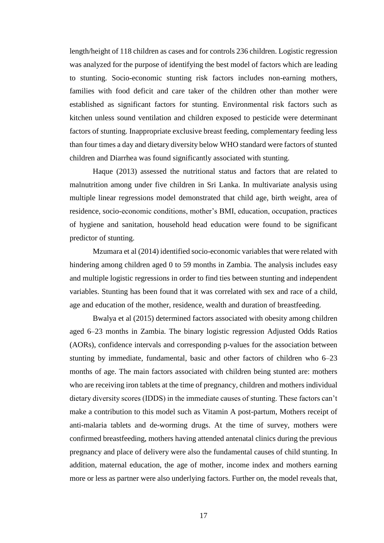length/height of 118 children as cases and for controls 236 children. Logistic regression was analyzed for the purpose of identifying the best model of factors which are leading to stunting. Socio-economic stunting risk factors includes non-earning mothers, families with food deficit and care taker of the children other than mother were established as significant factors for stunting. Environmental risk factors such as kitchen unless sound ventilation and children exposed to pesticide were determinant factors of stunting. Inappropriate exclusive breast feeding, complementary feeding less than four times a day and dietary diversity below WHO standard were factors of stunted children and Diarrhea was found significantly associated with stunting.

Haque (2013) assessed the nutritional status and factors that are related to malnutrition among under five children in Sri Lanka. In multivariate analysis using multiple linear regressions model demonstrated that child age, birth weight, area of residence, socio-economic conditions, mother's BMI, education, occupation, practices of hygiene and sanitation, household head education were found to be significant predictor of stunting.

Mzumara et al (2014) identified socio-economic variables that were related with hindering among children aged 0 to 59 months in Zambia. The analysis includes easy and multiple logistic regressions in order to find ties between stunting and independent variables. Stunting has been found that it was correlated with sex and race of a child, age and education of the mother, residence, wealth and duration of breastfeeding.

Bwalya et al (2015) determined factors associated with obesity among children aged 6–23 months in Zambia. The binary logistic regression Adjusted Odds Ratios (AORs), confidence intervals and corresponding p-values for the association between stunting by immediate, fundamental, basic and other factors of children who 6–23 months of age. The main factors associated with children being stunted are: mothers who are receiving iron tablets at the time of pregnancy, children and mothers individual dietary diversity scores (IDDS) in the immediate causes of stunting. These factors can't make a contribution to this model such as Vitamin A post-partum, Mothers receipt of anti-malaria tablets and de-worming drugs. At the time of survey, mothers were confirmed breastfeeding, mothers having attended antenatal clinics during the previous pregnancy and place of delivery were also the fundamental causes of child stunting. In addition, maternal education, the age of mother, income index and mothers earning more or less as partner were also underlying factors. Further on, the model reveals that,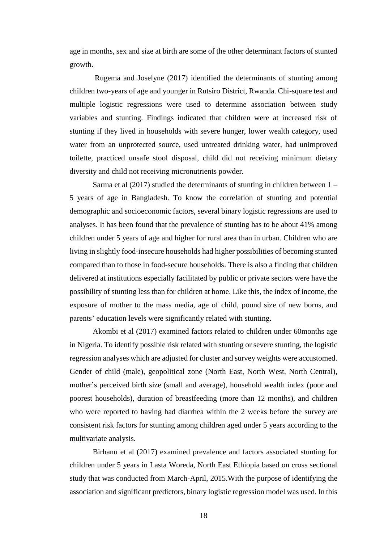age in months, sex and size at birth are some of the other determinant factors of stunted growth.

Rugema and Joselyne (2017) identified the determinants of stunting among children two-years of age and younger in Rutsiro District, Rwanda. Chi-square test and multiple logistic regressions were used to determine association between study variables and stunting. Findings indicated that children were at increased risk of stunting if they lived in households with severe hunger, lower wealth category, used water from an unprotected source, used untreated drinking water, had unimproved toilette, practiced unsafe stool disposal, child did not receiving minimum dietary diversity and child not receiving micronutrients powder.

Sarma et al (2017) studied the determinants of stunting in children between 1 – 5 years of age in Bangladesh. To know the correlation of stunting and potential demographic and socioeconomic factors, several binary logistic regressions are used to analyses. It has been found that the prevalence of stunting has to be about 41% among children under 5 years of age and higher for rural area than in urban. Children who are living in slightly food-insecure households had higher possibilities of becoming stunted compared than to those in food-secure households. There is also a finding that children delivered at institutions especially facilitated by public or private sectors were have the possibility of stunting less than for children at home. Like this, the index of income, the exposure of mother to the mass media, age of child, pound size of new borns, and parents' education levels were significantly related with stunting.

Akombi et al (2017) examined factors related to children under 60months age in Nigeria. To identify possible risk related with stunting or severe stunting, the logistic regression analyses which are adjusted for cluster and survey weights were accustomed. Gender of child (male), geopolitical zone (North East, North West, North Central), mother's perceived birth size (small and average), household wealth index (poor and poorest households), duration of breastfeeding (more than 12 months), and children who were reported to having had diarrhea within the 2 weeks before the survey are consistent risk factors for stunting among children aged under 5 years according to the multivariate analysis.

Birhanu et al (2017) examined prevalence and factors associated stunting for children under 5 years in Lasta Woreda, North East Ethiopia based on cross sectional study that was conducted from March-April, 2015.With the purpose of identifying the association and significant predictors, binary logistic regression model was used. In this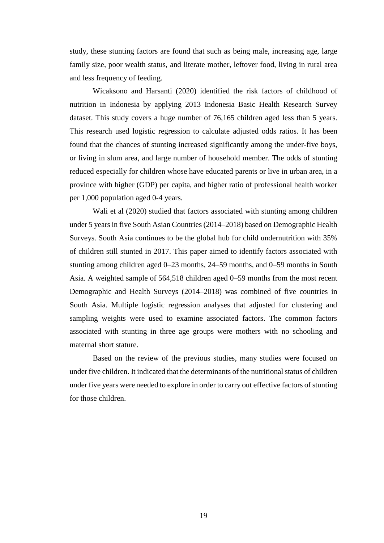study, these stunting factors are found that such as being male, increasing age, large family size, poor wealth status, and literate mother, leftover food, living in rural area and less frequency of feeding.

Wicaksono and Harsanti (2020) identified the risk factors of childhood of nutrition in Indonesia by applying 2013 Indonesia Basic Health Research Survey dataset. This study covers a huge number of 76,165 children aged less than 5 years. This research used logistic regression to calculate adjusted odds ratios. It has been found that the chances of stunting increased significantly among the under-five boys, or living in slum area, and large number of household member. The odds of stunting reduced especially for children whose have educated parents or live in urban area, in a province with higher (GDP) per capita, and higher ratio of professional health worker per 1,000 population aged 0-4 years.

Wali et al (2020) studied that factors associated with stunting among children under 5 years in five South Asian Countries (2014–2018) based on Demographic Health Surveys. South Asia continues to be the global hub for child undernutrition with 35% of children still stunted in 2017. This paper aimed to identify factors associated with stunting among children aged 0–23 months, 24–59 months, and 0–59 months in South Asia. A weighted sample of 564,518 children aged 0–59 months from the most recent Demographic and Health Surveys (2014–2018) was combined of five countries in South Asia. Multiple logistic regression analyses that adjusted for clustering and sampling weights were used to examine associated factors. The common factors associated with stunting in three age groups were mothers with no schooling and maternal short stature.

Based on the review of the previous studies, many studies were focused on under five children. It indicated that the determinants of the nutritional status of children under five years were needed to explore in order to carry out effective factors of stunting for those children.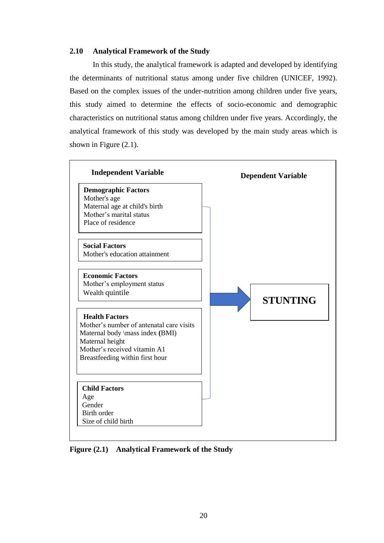# **2.10 Analytical Framework of the Study**

In this study, the analytical framework is adapted and developed by identifying the determinants of nutritional status among under five children (UNICEF, 1992). Based on the complex issues of the under-nutrition among children under five years, this study aimed to determine the effects of socio-economic and demographic characteristics on nutritional status among children under five years. Accordingly, the analytical framework of this study was developed by the main study areas which is shown in Figure (2.1).



**Figure (2.1)** Analytical Framework of the Study  $\mathbf{H}(\mathbf{F},\mathbf{I})$  Analyt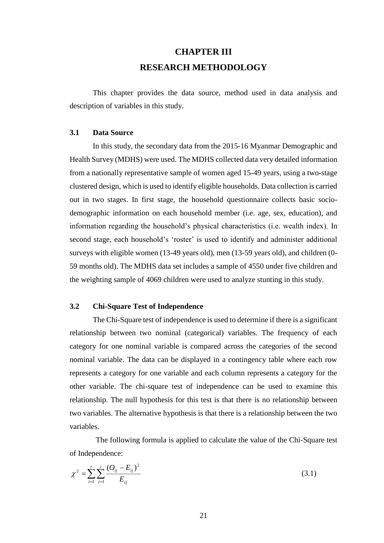# **CHAPTER III RESEARCH METHODOLOGY**

This chapter provides the data source, method used in data analysis and description of variables in this study.

## **3.1 Data Source**

In this study, the secondary data from the 2015-16 Myanmar Demographic and Health Survey (MDHS) were used. The MDHS collected data very detailed information from a nationally representative sample of women aged 15-49 years, using a two-stage clustered design, which is used to identify eligible households. Data collection is carried out in two stages. In first stage, the household questionnaire collects basic sociodemographic information on each household member (i.e. age, sex, education), and information regarding the household's physical characteristics (i.e. wealth index). In second stage, each household's 'roster' is used to identify and administer additional surveys with eligible women (13-49 years old), men (13-59 years old), and children (0- 59 months old). The MDHS data set includes a sample of 4550 under five children and the weighting sample of 4069 children were used to analyze stunting in this study.

#### **3.2 Chi-Square Test of Independence**

The Chi-Square test of independence is used to determine if there is a significant relationship between two nominal (categorical) variables. The frequency of each category for one nominal variable is compared across the categories of the second nominal variable. The data can be displayed in a contingency table where each row represents a category for one variable and each column represents a category for the other variable. The chi-square test of independence can be used to examine this relationship. The null hypothesis for this test is that there is no relationship between two variables. The alternative hypothesis is that there is a relationship between the two variables.

The following formula is applied to calculate the value of the Chi-Square test of Independence:

$$
\chi^2 = \sum_{i=1}^r \sum_{j=1}^c \frac{(O_{ij} - E_{ij})^2}{E_{ij}}
$$
(3.1)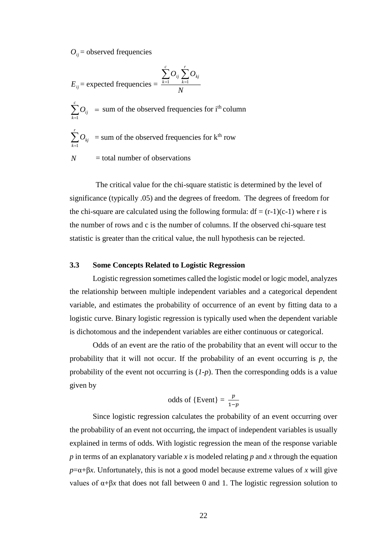$O_{ii}$  = observed frequencies

*k* 1

$$
E_{ij} = \text{expected frequencies} = \frac{\sum_{k=1}^{c} O_{ij} \sum_{k=1}^{r} O_{kj}}{N}
$$

 $\stackrel{c}{\sum}O_{ij}$  =  $\sum_{k=1}$ sum of the observed frequencies for i<sup>th</sup> column  $\sum_{k}^{r}$  *O*<sub>*kj*</sub> = sum of the observed frequencies for k<sup>th</sup> row

*N* = total number of observations

The critical value for the chi-square statistic is determined by the level of significance (typically .05) and the degrees of freedom. The degrees of freedom for the chi-square are calculated using the following formula:  $df = (r-1)(c-1)$  where r is the number of rows and c is the number of columns. If the observed chi-square test statistic is greater than the critical value, the null hypothesis can be rejected.

### **3.3 Some Concepts Related to Logistic Regression**

Logistic regression sometimes called the logistic model or logic model, analyzes the relationship between multiple independent variables and a categorical dependent variable, and estimates the probability of occurrence of an event by fitting data to a logistic curve. Binary logistic regression is typically used when the dependent variable is dichotomous and the independent variables are either continuous or categorical.

Odds of an event are the ratio of the probability that an event will occur to the probability that it will not occur. If the probability of an event occurring is *p*, the probability of the event not occurring is  $(I-p)$ . Then the corresponding odds is a value given by

odds of {Event} = 
$$
\frac{p}{1-p}
$$

 $D_{ij}$  = observed frequencies<br>  $E_{ij}$  = expected frequencies =  $\sum_{k=1}^{i} O_{ij} \sum_{k=1}^{r} O_{kj}$ <br>  $E_{ij}$  =  $\sum_{k=1}^{r} O_{ij}$  = sum of the observed frequencies f<br>  $\sum_{k=1}^{r} O_{ij}$  = sum of the observed frequencies f<br>  $\sum_{k=1}^{$ Since logistic regression calculates the probability of an event occurring over the probability of an event not occurring, the impact of independent variables is usually explained in terms of odds. With logistic regression the mean of the response variable *p* in terms of an explanatory variable *x* is modeled relating *p* and *x* through the equation  $p = \alpha + \beta x$ . Unfortunately, this is not a good model because extreme values of *x* will give values of α+β*x* that does not fall between 0 and 1. The logistic regression solution to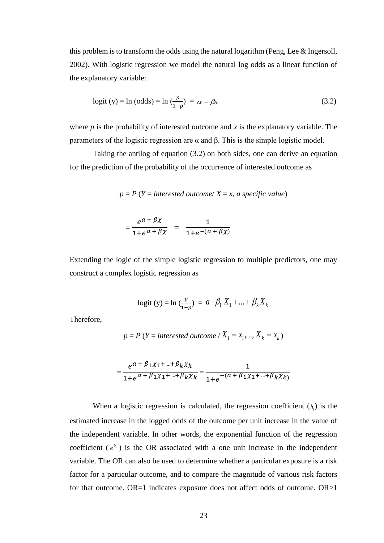this problem is to transform the odds using the natural logarithm (Peng, Lee & Ingersoll, 2002). With logistic regression we model the natural log odds as a linear function of the explanatory variable:

$$
logit (y) = ln (odds) = ln \left(\frac{p}{1-p}\right) = \alpha + \beta x \tag{3.2}
$$

where *p* is the probability of interested outcome and *x* is the explanatory variable. The parameters of the logistic regression are α and β. This is the simple logistic model.

Taking the antilog of equation (3.2) on both sides, one can derive an equation for the prediction of the probability of the occurrence of interested outcome as

$$
p = P(Y = interested outcome / X = x, a specific value)
$$

$$
= \frac{e^{a+\beta\chi}}{1+e^{a+\beta\chi}} = \frac{1}{1+e^{-(a+\beta\chi)}}
$$

Extending the logic of the simple logistic regression to multiple predictors, one may construct a complex logistic regression as

$$
logit (y) = ln (\frac{p}{1-p}) = a + \beta_1 X_1 + ... + \beta_k X_k
$$

Therefore,

$$
p = P(Y = interested outcome / X_1 = x_1, ..., X_k = x_k)
$$

$$
=\frac{e^{a+\beta_1\chi_1+\dots+\beta_k\chi_k}}{1+e^{a+\beta_1\chi_1+\dots+\beta_k\chi_k}}=\frac{1}{1+e^{-(a+\beta_1\chi_1+\dots+\beta_k\chi_k)}}
$$

When a logistic regression is calculated, the regression coefficient  $(b_1)$  is the estimated increase in the logged odds of the outcome per unit increase in the value of the independent variable. In other words, the exponential function of the regression coefficient  $(e^{b_1})$  is the OR associated with a one unit increase in the independent variable. The OR can also be used to determine whether a particular exposure is a risk factor for a particular outcome, and to compare the magnitude of various risk factors for that outcome. OR=1 indicates exposure does not affect odds of outcome. OR>1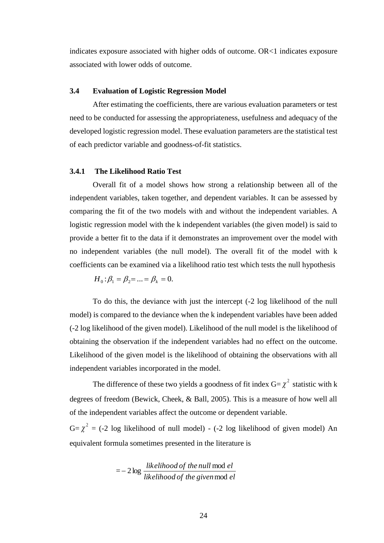indicates exposure associated with higher odds of outcome. OR<1 indicates exposure associated with lower odds of outcome.

### **3.4 Evaluation of Logistic Regression Model**

After estimating the coefficients, there are various evaluation parameters or test need to be conducted for assessing the appropriateness, usefulness and adequacy of the developed logistic regression model. These evaluation parameters are the statistical test of each predictor variable and goodness-of-fit statistics.

#### **3.4.1 The Likelihood Ratio Test**

Overall fit of a model shows how strong a relationship between all of the independent variables, taken together, and dependent variables. It can be assessed by comparing the fit of the two models with and without the independent variables. A logistic regression model with the k independent variables (the given model) is said to provide a better fit to the data if it demonstrates an improvement over the model with no independent variables (the null model). The overall fit of the model with k coefficients can be examined via a likelihood ratio test which tests the null hypothesis

$$
H_0: \beta_1 = \beta_2 = \dots = \beta_k = 0.
$$

To do this, the deviance with just the intercept (-2 log likelihood of the null model) is compared to the deviance when the k independent variables have been added (-2 log likelihood of the given model). Likelihood of the null model is the likelihood of obtaining the observation if the independent variables had no effect on the outcome. Likelihood of the given model is the likelihood of obtaining the observations with all independent variables incorporated in the model.

The difference of these two yields a goodness of fit index  $G = \chi^2$  statistic with k degrees of freedom (Bewick, Cheek, & Ball, 2005). This is a measure of how well all of the independent variables affect the outcome or dependent variable.

 $G = \chi^2 = (-2 \log$  likelihood of null model) - (-2 log likelihood of given model) An equivalent formula sometimes presented in the literature is

$$
= -2 \log \frac{likelihood \ of \ the \ null \ mod \ el}{likelihood \ of \ the \ given \ mod \ el}
$$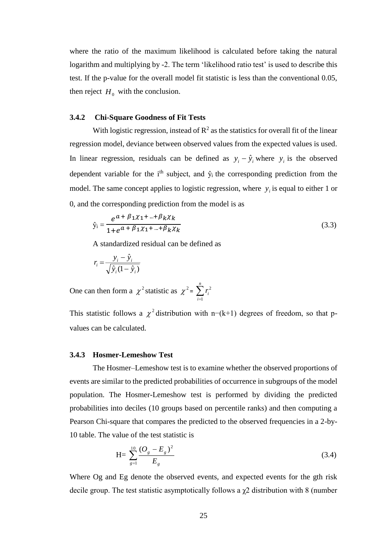where the ratio of the maximum likelihood is calculated before taking the natural logarithm and multiplying by -2. The term 'likelihood ratio test' is used to describe this test. If the p-value for the overall model fit statistic is less than the conventional 0.05, then reject  $H_0$  with the conclusion.

# **3.4.2 Chi-Square Goodness of Fit Tests**

With logistic regression, instead of  $\mathbb{R}^2$  as the statistics for overall fit of the linear regression model, deviance between observed values from the expected values is used. In linear regression, residuals can be defined as  $y_i - \hat{y}_i$  where  $y_i$  is the observed dependent variable for the  $i<sup>th</sup>$  subject, and  $\hat{y}_i$  the corresponding prediction from the model. The same concept applies to logistic regression, where  $y_i$  is equal to either 1 or 0, and the corresponding prediction from the model is as

$$
\hat{y}_i = \frac{e^{a + \beta_1 \chi_1 + \dots + \beta_k \chi_k}}{1 + e^{a + \beta_1 \chi_1 + \dots + \beta_k \chi_k}}
$$
\n(3.3)

A standardized residual can be defined as

$$
r_i = \frac{y_i - \hat{y}_i}{\sqrt{\hat{y}_i(1 - \hat{y}_i)}}
$$

One can then form a  $\chi^2$  statistic as  $\chi^2 = \sum^n$ *i i r* 1 2

This statistic follows a  $\chi^2$  distribution with n–(k+1) degrees of freedom, so that pvalues can be calculated.

#### **3.4.3 Hosmer-Lemeshow Test**

The Hosmer–Lemeshow test is to examine whether the observed proportions of events are similar to the predicted probabilities of occurrence in subgroups of the model population. The Hosmer-Lemeshow test is performed by dividing the predicted probabilities into deciles (10 groups based on percentile ranks) and then computing a Pearson Chi-square that compares the predicted to the observed frequencies in a 2-by-10 table. The value of the test statistic is

$$
H = \sum_{g=1}^{10} \frac{(O_g - E_g)^2}{E_g} \tag{3.4}
$$

Where Og and Eg denote the observed events, and expected events for the gth risk decile group. The test statistic asymptotically follows a  $\chi$ 2 distribution with 8 (number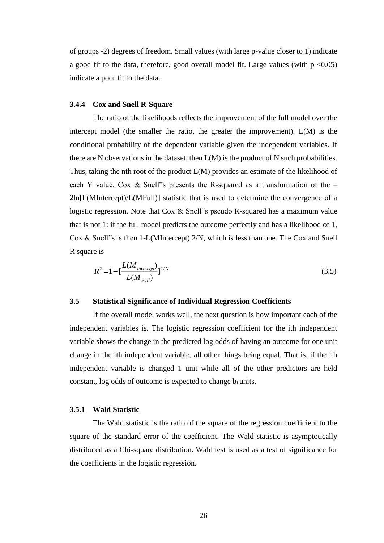of groups -2) degrees of freedom. Small values (with large p-value closer to 1) indicate a good fit to the data, therefore, good overall model fit. Large values (with  $p \le 0.05$ ) indicate a poor fit to the data.

#### **3.4.4 Cox and Snell R-Square**

The ratio of the likelihoods reflects the improvement of the full model over the intercept model (the smaller the ratio, the greater the improvement).  $L(M)$  is the conditional probability of the dependent variable given the independent variables. If there are N observations in the dataset, then L(M) is the product of N such probabilities. Thus, taking the nth root of the product L(M) provides an estimate of the likelihood of each Y value. Cox & Snell"s presents the R-squared as a transformation of the  $-$ 2ln[L(MIntercept)/L(MFull)] statistic that is used to determine the convergence of a logistic regression. Note that Cox & Snell"s pseudo R-squared has a maximum value that is not 1: if the full model predicts the outcome perfectly and has a likelihood of 1, Cox & Snell"s is then 1-L(MIntercept) 2/N, which is less than one. The Cox and Snell R square is

$$
R^{2} = 1 - \left[\frac{L(M_{\text{Intercept}})}{L(M_{\text{Full}})}\right]^{2/N}
$$
\n(3.5)

#### **3.5 Statistical Significance of Individual Regression Coefficients**

If the overall model works well, the next question is how important each of the independent variables is. The logistic regression coefficient for the ith independent variable shows the change in the predicted log odds of having an outcome for one unit change in the ith independent variable, all other things being equal. That is, if the ith independent variable is changed 1 unit while all of the other predictors are held constant, log odds of outcome is expected to change bi units.

#### **3.5.1 Wald Statistic**

The Wald statistic is the ratio of the square of the regression coefficient to the square of the standard error of the coefficient. The Wald statistic is asymptotically distributed as a Chi-square distribution. Wald test is used as a test of significance for the coefficients in the logistic regression.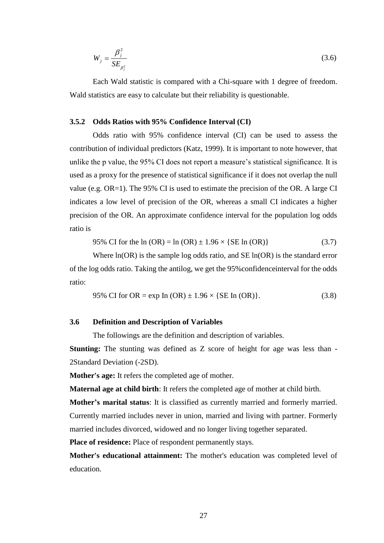$$
W_j = \frac{\beta_j^2}{SE_{\beta_j^2}}
$$
\n(3.6)

Each Wald statistic is compared with a Chi-square with 1 degree of freedom. Wald statistics are easy to calculate but their reliability is questionable.

#### **3.5.2 Odds Ratios with 95% Confidence Interval (CI)**

Odds ratio with 95% confidence interval (CI) can be used to assess the contribution of individual predictors (Katz, 1999). It is important to note however, that unlike the p value, the 95% CI does not report a measure's statistical significance. It is used as a proxy for the presence of statistical significance if it does not overlap the null value (e.g. OR=1). The 95% CI is used to estimate the precision of the OR. A large CI indicates a low level of precision of the OR, whereas a small CI indicates a higher precision of the OR. An approximate confidence interval for the population log odds ratio is

95% CI for the ln (OR) = ln (OR) 
$$
\pm
$$
 1.96 × {SE ln (OR)} (3.7)

Where  $ln(OR)$  is the sample log odds ratio, and  $SE ln(OR)$  is the standard error of the log odds ratio. Taking the antilog, we get the 95%confidenceinterval for the odds ratio:

95% CI for OR = exp In (OR) 
$$
\pm
$$
 1.96  $\times$  {SE In (OR)}. (3.8)

## **3.6 Definition and Description of Variables**

The followings are the definition and description of variables.

**Stunting:** The stunting was defined as Z score of height for age was less than - 2Standard Deviation (-2SD).

**Mother's age:** It refers the completed age of mother.

**Maternal age at child birth**: It refers the completed age of mother at child birth.

**Mother's marital status**: It is classified as currently married and formerly married. Currently married includes never in union, married and living with partner. Formerly married includes divorced, widowed and no longer living together separated.

**Place of residence:** Place of respondent permanently stays.

**Mother's educational attainment:** The mother's education was completed level of education.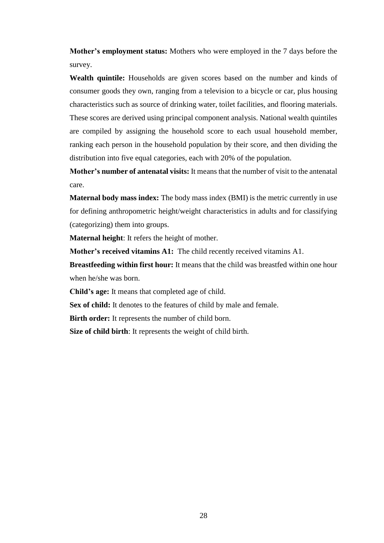**Mother's employment status:** Mothers who were employed in the 7 days before the survey.

**Wealth quintile:** Households are given scores based on the number and kinds of consumer goods they own, ranging from a television to a bicycle or car, plus housing characteristics such as source of drinking water, toilet facilities, and flooring materials. These scores are derived using principal component analysis. National wealth quintiles are compiled by assigning the household score to each usual household member, ranking each person in the household population by their score, and then dividing the distribution into five equal categories, each with 20% of the population.

**Mother's number of antenatal visits:** It means that the number of visit to the antenatal care.

**Maternal body mass index:** The body mass index (BMI) is the metric currently in use for defining anthropometric height/weight characteristics in adults and for classifying (categorizing) them into groups.

**Maternal height**: It refers the height of mother.

**Mother's received vitamins A1:** The child recently received vitamins A1.

**Breastfeeding within first hour:** It means that the child was breastfed within one hour when he/she was born.

**Child's age:** It means that completed age of child.

**Sex of child:** It denotes to the features of child by male and female.

**Birth order:** It represents the number of child born.

**Size of child birth**: It represents the weight of child birth.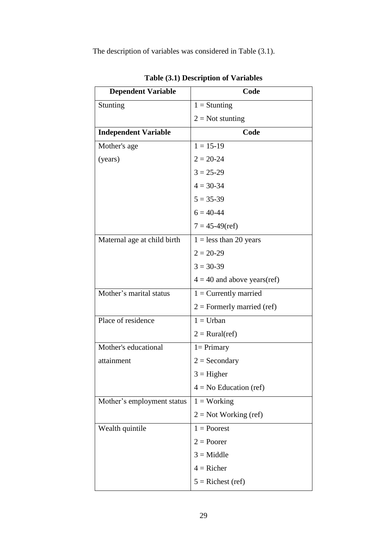The description of variables was considered in Table (3.1).

| <b>Dependent Variable</b>   | Code                           |
|-----------------------------|--------------------------------|
| Stunting                    | $1 =$ Stunting                 |
|                             | $2 = Not$ stunting             |
| <b>Independent Variable</b> | Code                           |
| Mother's age                | $1 = 15 - 19$                  |
| (years)                     | $2 = 20 - 24$                  |
|                             | $3 = 25 - 29$                  |
|                             | $4 = 30-34$                    |
|                             | $5 = 35-39$                    |
|                             | $6 = 40 - 44$                  |
|                             | $7 = 45-49$ (ref)              |
| Maternal age at child birth | $1 =$ less than 20 years       |
|                             | $2 = 20 - 29$                  |
|                             | $3 = 30-39$                    |
|                             | $4 = 40$ and above years(ref)  |
| Mother's marital status     | $1 =$ Currently married        |
|                             | $2$ = Formerly married (ref)   |
| Place of residence          | $1 = Urban$                    |
|                             | $2 = \text{Rural}(\text{ref})$ |
| Mother's educational        | $1 = Primary$                  |
| attainment                  | $2 =$ Secondary                |
|                             | $3 = Higher$                   |
|                             | $4 = No$ Education (ref)       |
| Mother's employment status  | $1 = Working$                  |
|                             | $2 = Not Working (ref)$        |
| Wealth quintile             | $1 =$ Poorest                  |
|                             | $2 = Power$                    |
|                             | $3 = Middle$                   |
|                             | $4 =$ Richer                   |
|                             | $5 =$ Richest (ref)            |

**Table (3.1) Description of Variables**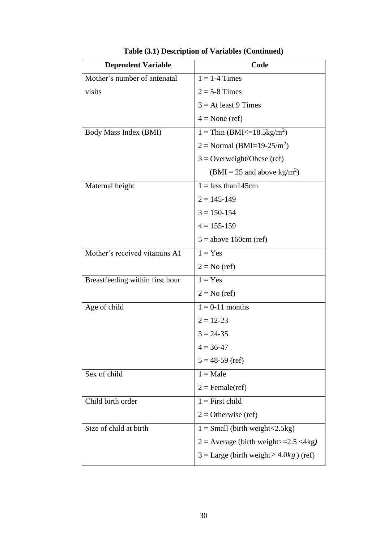| <b>Dependent Variable</b>       | Code                                                  |
|---------------------------------|-------------------------------------------------------|
| Mother's number of antenatal    | $1 = 1-4$ Times                                       |
| visits                          | $2 = 5-8$ Times                                       |
|                                 | $3 = At least 9 Times$                                |
|                                 | $4 = None$ (ref)                                      |
| Body Mass Index (BMI)           | $1 =$ Thin (BMI<=18.5kg/m <sup>2</sup> )              |
|                                 | $2 = Normal (BMI=19-25/m2)$                           |
|                                 | $3 =$ Overweight/Obese (ref)                          |
|                                 | $(BMI = 25$ and above kg/m <sup>2</sup> )             |
| Maternal height                 | $1 =$ less than 145cm                                 |
|                                 | $2 = 145 - 149$                                       |
|                                 | $3 = 150 - 154$                                       |
|                                 | $4 = 155 - 159$                                       |
|                                 | $5 =$ above 160cm (ref)                               |
| Mother's received vitamins A1   | $1 = Yes$                                             |
|                                 | $2 = No$ (ref)                                        |
| Breastfeeding within first hour | $1 = Yes$                                             |
|                                 | $2 = No$ (ref)                                        |
| Age of child                    | $1 = 0-11$ months                                     |
|                                 | $2 = 12 - 23$                                         |
|                                 | $3 = 24 - 35$                                         |
|                                 | $4 = 36 - 47$                                         |
|                                 | $5 = 48-59$ (ref)                                     |
| Sex of child                    | $1 = Male$                                            |
|                                 | $2 =$ Female(ref)                                     |
| Child birth order               | $1 =$ First child                                     |
|                                 | $2 =$ Otherwise (ref)                                 |
| Size of child at birth          | $1 = Small$ (birth weight < 2.5 kg)                   |
|                                 | $2 =$ Average (birth weight $>=$ 2.5 < 4kg)           |
|                                 | $3 = \text{Large}$ (birth weight $\geq 4.0kg$ ) (ref) |

**Table (3.1) Description of Variables (Continued)**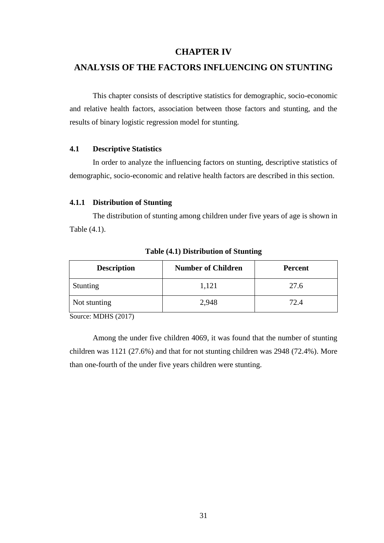### **CHAPTER IV**

### **ANALYSIS OF THE FACTORS INFLUENCING ON STUNTING**

This chapter consists of descriptive statistics for demographic, socio-economic and relative health factors, association between those factors and stunting, and the results of binary logistic regression model for stunting.

### **4.1 Descriptive Statistics**

In order to analyze the influencing factors on stunting, descriptive statistics of demographic, socio-economic and relative health factors are described in this section.

#### **4.1.1 Distribution of Stunting**

The distribution of stunting among children under five years of age is shown in Table (4.1).

| <b>Description</b> | <b>Number of Children</b> | <b>Percent</b> |
|--------------------|---------------------------|----------------|
| Stunting           | 1,121                     | 27.6           |
| Not stunting       | 2,948                     | 72.4           |

**Table (4.1) Distribution of Stunting**

Source: MDHS (2017)

Among the under five children 4069, it was found that the number of stunting children was 1121 (27.6%) and that for not stunting children was 2948 (72.4%). More than one-fourth of the under five years children were stunting.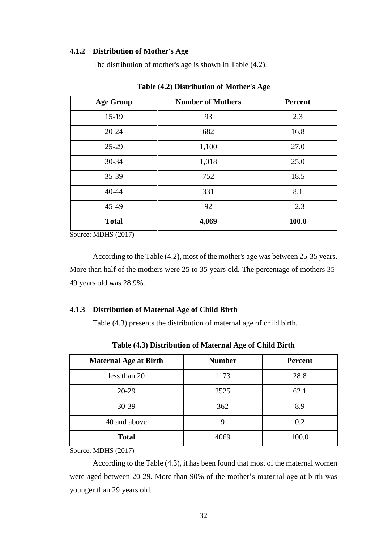### **4.1.2 Distribution of Mother's Age**

The distribution of mother's age is shown in Table (4.2).

| <b>Age Group</b> | <b>Number of Mothers</b> | <b>Percent</b> |
|------------------|--------------------------|----------------|
| $15-19$          | 93                       | 2.3            |
| $20 - 24$        | 682                      | 16.8           |
| 25-29            | 1,100                    | 27.0           |
| 30-34            | 1,018                    | 25.0           |
| 35-39            | 752                      | 18.5           |
| 40-44            | 331                      | 8.1            |
| 45-49            | 92                       | 2.3            |
| <b>Total</b>     | 4,069                    | 100.0          |

**Table (4.2) Distribution of Mother's Age**

Source: MDHS (2017)

According to the Table (4.2), most of the mother's age was between 25-35 years. More than half of the mothers were 25 to 35 years old. The percentage of mothers 35- 49 years old was 28.9%.

### **4.1.3 Distribution of Maternal Age of Child Birth**

Table (4.3) presents the distribution of maternal age of child birth.

| <b>Maternal Age at Birth</b> | <b>Number</b> | <b>Percent</b> |
|------------------------------|---------------|----------------|
| less than 20                 | 1173          | 28.8           |
| 20-29                        | 2525          | 62.1           |
| 30-39                        | 362           | 8.9            |
| 40 and above                 | 9             | 0.2            |
| <b>Total</b>                 | 4069          | 100.0          |

**Table (4.3) Distribution of Maternal Age of Child Birth**

Source: MDHS (2017)

According to the Table (4.3), it has been found that most of the maternal women were aged between 20-29. More than 90% of the mother's maternal age at birth was younger than 29 years old.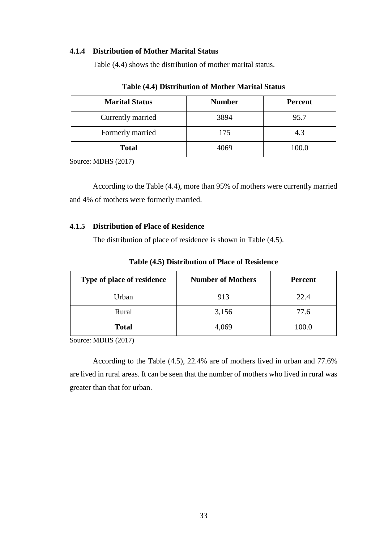### **4.1.4 Distribution of Mother Marital Status**

Table (4.4) shows the distribution of mother marital status.

| <b>Marital Status</b> | <b>Number</b> | <b>Percent</b> |
|-----------------------|---------------|----------------|
| Currently married     | 3894          | 95.7           |
| Formerly married      | 175           | 4.3            |
| <b>Total</b>          | 4069          | 100.0          |

**Table (4.4) Distribution of Mother Marital Status**

Source: MDHS (2017)

According to the Table (4.4), more than 95% of mothers were currently married and 4% of mothers were formerly married.

### **4.1.5 Distribution of Place of Residence**

The distribution of place of residence is shown in Table (4.5).

| Type of place of residence | <b>Number of Mothers</b> | <b>Percent</b> |
|----------------------------|--------------------------|----------------|
| Urban                      | 913                      | 22.4           |
| Rural                      | 3,156                    | 77.6           |
| <b>Total</b>               | 4,069                    | 100.0          |

**Table (4.5) Distribution of Place of Residence**

Source: MDHS (2017)

According to the Table (4.5), 22.4% are of mothers lived in urban and 77.6% are lived in rural areas. It can be seen that the number of mothers who lived in rural was greater than that for urban.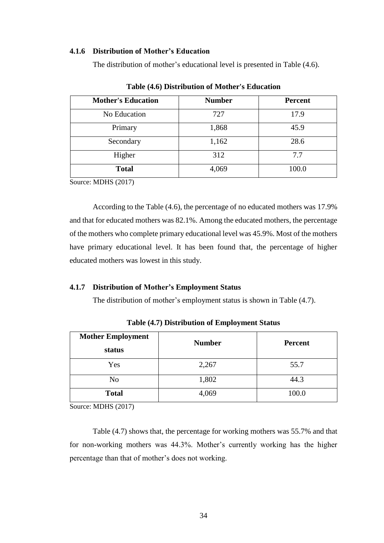### **4.1.6 Distribution of Mother's Education**

The distribution of mother's educational level is presented in Table (4.6).

| <b>Mother's Education</b> | <b>Number</b> | <b>Percent</b> |
|---------------------------|---------------|----------------|
| No Education              | 727           | 17.9           |
| Primary                   | 1,868         | 45.9           |
| Secondary                 | 1,162         | 28.6           |
| Higher                    | 312           | 7.7            |
| <b>Total</b>              | 4,069         | 100.0          |

**Table (4.6) Distribution of Mother's Education**

Source: MDHS (2017)

According to the Table (4.6), the percentage of no educated mothers was 17.9% and that for educated mothers was 82.1%. Among the educated mothers, the percentage of the mothers who complete primary educational level was 45.9%. Most of the mothers have primary educational level. It has been found that, the percentage of higher educated mothers was lowest in this study.

### **4.1.7 Distribution of Mother's Employment Status**

The distribution of mother's employment status is shown in Table (4.7).

| <b>Mother Employment</b><br>status | <b>Number</b> | <b>Percent</b> |
|------------------------------------|---------------|----------------|
| Yes                                | 2,267         | 55.7           |
| N <sub>o</sub>                     | 1,802         | 44.3           |
| <b>Total</b>                       | 4,069         | 100.0          |

**Table (4.7) Distribution of Employment Status**

Source: MDHS (2017)

Table (4.7) shows that, the percentage for working mothers was 55.7% and that for non-working mothers was 44.3%. Mother's currently working has the higher percentage than that of mother's does not working.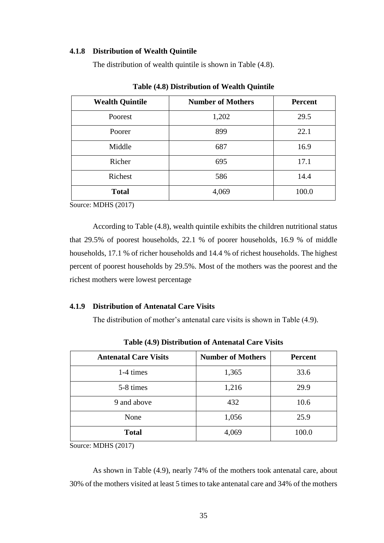### **4.1.8 Distribution of Wealth Quintile**

The distribution of wealth quintile is shown in Table (4.8).

| <b>Wealth Quintile</b> | <b>Number of Mothers</b> | <b>Percent</b> |
|------------------------|--------------------------|----------------|
| Poorest                | 1,202                    | 29.5           |
| Poorer                 | 899                      | 22.1           |
| Middle                 | 687                      | 16.9           |
| Richer                 | 695                      | 17.1           |
| Richest                | 586                      | 14.4           |
| <b>Total</b>           | 4,069                    | 100.0          |

**Table (4.8) Distribution of Wealth Quintile**

Source: MDHS (2017)

According to Table (4.8), wealth quintile exhibits the children nutritional status that 29.5% of poorest households, 22.1 % of poorer households, 16.9 % of middle households, 17.1 % of richer households and 14.4 % of richest households. The highest percent of poorest households by 29.5%. Most of the mothers was the poorest and the richest mothers were lowest percentage

#### **4.1.9 Distribution of Antenatal Care Visits**

The distribution of mother's antenatal care visits is shown in Table (4.9).

| <b>Antenatal Care Visits</b> | <b>Number of Mothers</b> | Percent |
|------------------------------|--------------------------|---------|
| 1-4 times                    | 1,365                    | 33.6    |
| 5-8 times                    | 1,216                    | 29.9    |
| 9 and above                  | 432                      | 10.6    |
| None                         | 1,056                    | 25.9    |
| <b>Total</b>                 | 4,069                    | 100.0   |

**Table (4.9) Distribution of Antenatal Care Visits**

Source: MDHS (2017)

As shown in Table (4.9), nearly 74% of the mothers took antenatal care, about 30% of the mothers visited at least 5 times to take antenatal care and 34% of the mothers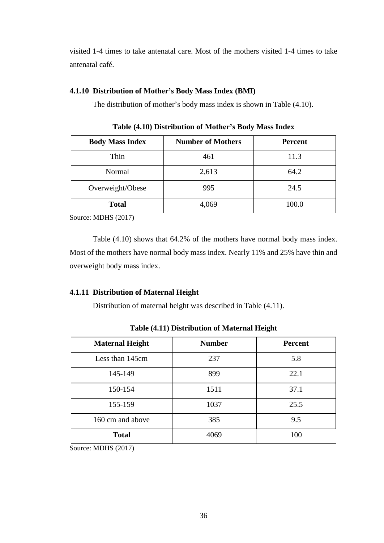visited 1-4 times to take antenatal care. Most of the mothers visited 1-4 times to take antenatal café.

### **4.1.10 Distribution of Mother's Body Mass Index (BMI)**

The distribution of mother's body mass index is shown in Table (4.10).

| <b>Body Mass Index</b> | <b>Number of Mothers</b> | <b>Percent</b> |
|------------------------|--------------------------|----------------|
| Thin                   | 461                      | 11.3           |
| Normal                 | 2,613                    | 64.2           |
| Overweight/Obese       | 995                      | 24.5           |
| <b>Total</b>           | 4,069                    | 100.0          |

**Table (4.10) Distribution of Mother's Body Mass Index**

Source: MDHS (2017)

Table (4.10) shows that 64.2% of the mothers have normal body mass index. Most of the mothers have normal body mass index. Nearly 11% and 25% have thin and overweight body mass index.

### **4.1.11 Distribution of Maternal Height**

Distribution of maternal height was described in Table (4.11).

| <b>Maternal Height</b> | <b>Number</b> | <b>Percent</b> |
|------------------------|---------------|----------------|
| Less than 145cm        | 237           | 5.8            |
| 145-149                | 899           | 22.1           |
| 150-154                | 1511          | 37.1           |
| 155-159                | 1037          | 25.5           |
| 160 cm and above       | 385           | 9.5            |
| <b>Total</b>           | 4069          | 100            |

**Table (4.11) Distribution of Maternal Height**

Source: MDHS (2017)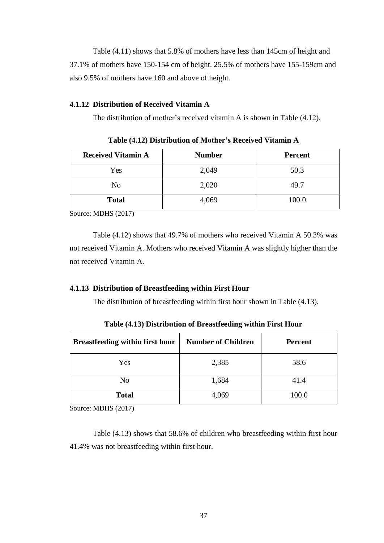Table (4.11) shows that 5.8% of mothers have less than 145cm of height and 37.1% of mothers have 150-154 cm of height. 25.5% of mothers have 155-159cm and also 9.5% of mothers have 160 and above of height.

### **4.1.12 Distribution of Received Vitamin A**

The distribution of mother's received vitamin A is shown in Table (4.12).

| <b>Received Vitamin A</b> | <b>Number</b> | <b>Percent</b> |
|---------------------------|---------------|----------------|
| Yes                       | 2,049         | 50.3           |
| No                        | 2,020         | 49.7           |
| <b>Total</b>              | 4,069         | 100.0          |

**Table (4.12) Distribution of Mother's Received Vitamin A**

Source: MDHS (2017)

Table (4.12) shows that 49.7% of mothers who received Vitamin A 50.3% was not received Vitamin A. Mothers who received Vitamin A was slightly higher than the not received Vitamin A.

### **4.1.13 Distribution of Breastfeeding within First Hour**

The distribution of breastfeeding within first hour shown in Table (4.13).

| <b>Breastfeeding within first hour</b> | <b>Number of Children</b> | <b>Percent</b> |  |
|----------------------------------------|---------------------------|----------------|--|
| Yes                                    | 2,385                     | 58.6           |  |
| No                                     | 1,684                     | 41.4           |  |
| <b>Total</b>                           | 4,069                     | 100.0          |  |

**Table (4.13) Distribution of Breastfeeding within First Hour**

Source: MDHS (2017)

Table (4.13) shows that 58.6% of children who breastfeeding within first hour 41.4% was not breastfeeding within first hour.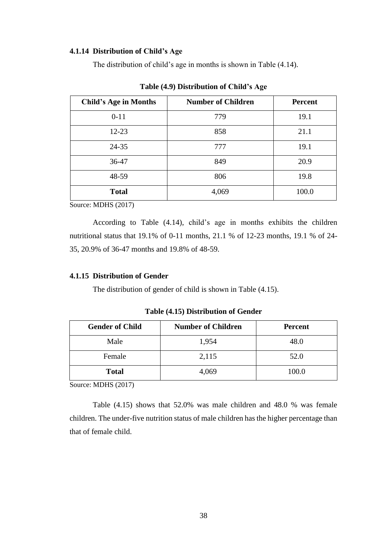### **4.1.14 Distribution of Child's Age**

The distribution of child's age in months is shown in Table (4.14).

| <b>Child's Age in Months</b> | <b>Number of Children</b> | Percent |
|------------------------------|---------------------------|---------|
| $0 - 11$                     | 779                       | 19.1    |
| $12 - 23$                    | 858                       | 21.1    |
| $24 - 35$                    | 777                       | 19.1    |
| 36-47                        | 849                       | 20.9    |
| 48-59                        | 806                       | 19.8    |
| <b>Total</b>                 | 4,069                     | 100.0   |

**Table (4.9) Distribution of Child's Age**

Source: MDHS (2017)

According to Table (4.14), child's age in months exhibits the children nutritional status that 19.1% of 0-11 months, 21.1 % of 12-23 months, 19.1 % of 24- 35, 20.9% of 36-47 months and 19.8% of 48-59.

### **4.1.15 Distribution of Gender**

The distribution of gender of child is shown in Table (4.15).

**Table (4.15) Distribution of Gender**

| <b>Gender of Child</b> | <b>Number of Children</b> | <b>Percent</b> |
|------------------------|---------------------------|----------------|
| Male                   | 1,954                     | 48.0           |
| Female                 | 2,115                     | 52.0           |
| <b>Total</b>           | 4,069                     | 100.0          |

Source: MDHS (2017)

Table (4.15) shows that 52.0% was male children and 48.0 % was female children. The under-five nutrition status of male children has the higher percentage than that of female child.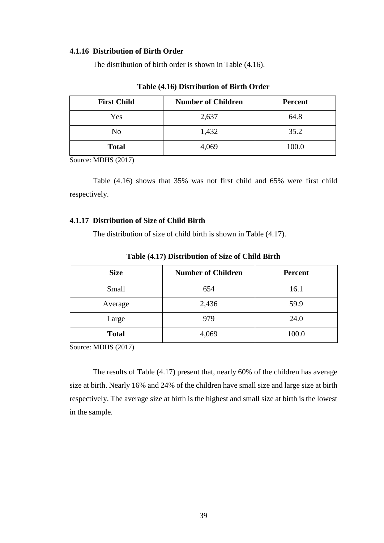### **4.1.16 Distribution of Birth Order**

The distribution of birth order is shown in Table (4.16).

| <b>First Child</b> | <b>Number of Children</b> | <b>Percent</b> |
|--------------------|---------------------------|----------------|
| Yes                | 2,637                     | 64.8           |
| No                 | 1,432                     | 35.2           |
| <b>Total</b>       | 4,069                     | 100.0          |

### **Table (4.16) Distribution of Birth Order**

Source: MDHS (2017)

Table (4.16) shows that 35% was not first child and 65% were first child respectively.

### **4.1.17 Distribution of Size of Child Birth**

The distribution of size of child birth is shown in Table (4.17).

| <b>Size</b>  | <b>Number of Children</b> | <b>Percent</b> |
|--------------|---------------------------|----------------|
| Small        | 654                       | 16.1           |
| Average      | 2,436                     | 59.9           |
| Large        | 979                       | 24.0           |
| <b>Total</b> | 4,069                     | 100.0          |

**Table (4.17) Distribution of Size of Child Birth**

Source: MDHS (2017)

The results of Table (4.17) present that, nearly 60% of the children has average size at birth. Nearly 16% and 24% of the children have small size and large size at birth respectively. The average size at birth is the highest and small size at birth is the lowest in the sample.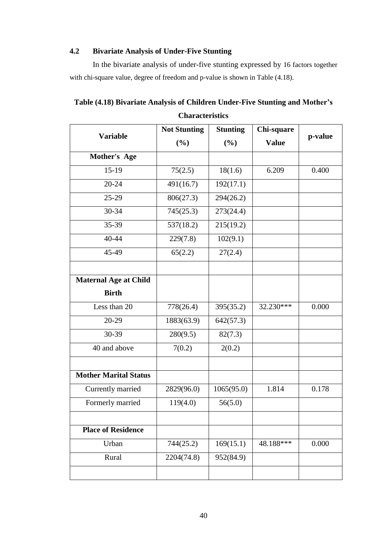### **4.2 Bivariate Analysis of Under-Five Stunting**

In the bivariate analysis of under-five stunting expressed by 16 factors together with chi-square value, degree of freedom and p-value is shown in Table (4.18).

**Table (4.18) Bivariate Analysis of Children Under-Five Stunting and Mother's Characteristics**

|                              | <b>Not Stunting</b> | <b>Stunting</b> | Chi-square   |         |
|------------------------------|---------------------|-----------------|--------------|---------|
| <b>Variable</b>              | (%)                 | (%)             | <b>Value</b> | p-value |
| Mother's Age                 |                     |                 |              |         |
| $15-19$                      | 75(2.5)             | 18(1.6)         | 6.209        | 0.400   |
| $20 - 24$                    | 491(16.7)           | 192(17.1)       |              |         |
| $25-29$                      | 806(27.3)           | 294(26.2)       |              |         |
| 30-34                        | 745(25.3)           | 273(24.4)       |              |         |
| 35-39                        | 537(18.2)           | 215(19.2)       |              |         |
| 40-44                        | 229(7.8)            | 102(9.1)        |              |         |
| 45-49                        | 65(2.2)             | 27(2.4)         |              |         |
|                              |                     |                 |              |         |
| <b>Maternal Age at Child</b> |                     |                 |              |         |
| <b>Birth</b>                 |                     |                 |              |         |
| Less than 20                 | 778(26.4)           | 395(35.2)       | 32.230***    | 0.000   |
| 20-29                        | 1883(63.9)          | 642(57.3)       |              |         |
| 30-39                        | 280(9.5)            | 82(7.3)         |              |         |
| 40 and above                 | 7(0.2)              | 2(0.2)          |              |         |
|                              |                     |                 |              |         |
| <b>Mother Marital Status</b> |                     |                 |              |         |
| Currently married            | 2829(96.0)          | 1065(95.0)      | 1.814        | 0.178   |
| Formerly married             | 119(4.0)            | 56(5.0)         |              |         |
|                              |                     |                 |              |         |
| <b>Place of Residence</b>    |                     |                 |              |         |
| Urban                        | 744(25.2)           | 169(15.1)       | 48.188***    | 0.000   |
| Rural                        | 2204(74.8)          | 952(84.9)       |              |         |
|                              |                     |                 |              |         |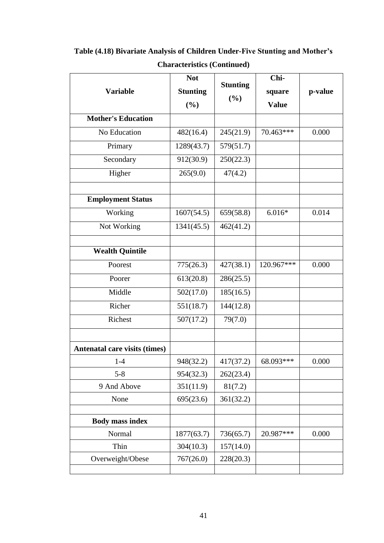|                               | <b>Not</b>      | <b>Stunting</b> | Chi-         |         |
|-------------------------------|-----------------|-----------------|--------------|---------|
| <b>Variable</b>               | <b>Stunting</b> | (%)             | square       | p-value |
|                               | (%)             |                 | <b>Value</b> |         |
| <b>Mother's Education</b>     |                 |                 |              |         |
| No Education                  | 482(16.4)       | 245(21.9)       | 70.463***    | 0.000   |
| Primary                       | 1289(43.7)      | 579(51.7)       |              |         |
| Secondary                     | 912(30.9)       | 250(22.3)       |              |         |
| Higher                        | 265(9.0)        | 47(4.2)         |              |         |
|                               |                 |                 |              |         |
| <b>Employment Status</b>      |                 |                 |              |         |
| Working                       | 1607(54.5)      | 659(58.8)       | $6.016*$     | 0.014   |
| Not Working                   | 1341(45.5)      | 462(41.2)       |              |         |
|                               |                 |                 |              |         |
| <b>Wealth Quintile</b>        |                 |                 |              |         |
| Poorest                       | 775(26.3)       | 427(38.1)       | 120.967***   | 0.000   |
| Poorer                        | 613(20.8)       | 286(25.5)       |              |         |
| Middle                        | 502(17.0)       | 185(16.5)       |              |         |
| Richer                        | 551(18.7)       | 144(12.8)       |              |         |
| Richest                       | 507(17.2)       | 79(7.0)         |              |         |
|                               |                 |                 |              |         |
| Antenatal care visits (times) |                 |                 |              |         |
| $1-4$                         | 948(32.2)       | 417(37.2)       | 68.093***    | 0.000   |
| $5 - 8$                       | 954(32.3)       | 262(23.4)       |              |         |
| 9 And Above                   | 351(11.9)       | 81(7.2)         |              |         |
| None                          | 695(23.6)       | 361(32.2)       |              |         |
|                               |                 |                 |              |         |
| <b>Body mass index</b>        |                 |                 |              |         |
| Normal                        | 1877(63.7)      | 736(65.7)       | 20.987***    | 0.000   |
| Thin                          | 304(10.3)       | 157(14.0)       |              |         |
| Overweight/Obese              | 767(26.0)       | 228(20.3)       |              |         |
|                               |                 |                 |              |         |

**Table (4.18) Bivariate Analysis of Children Under-Five Stunting and Mother's Characteristics (Continued)**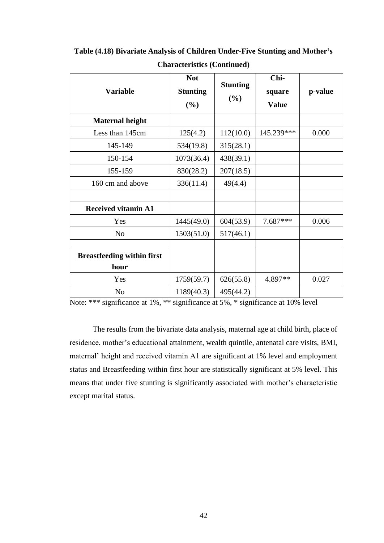| <b>Variable</b>                           | <b>Not</b><br><b>Stunting</b><br>(%) | <b>Stunting</b><br>(%) | Chi-<br>square<br><b>Value</b> | p-value |
|-------------------------------------------|--------------------------------------|------------------------|--------------------------------|---------|
| <b>Maternal height</b>                    |                                      |                        |                                |         |
| Less than 145cm                           | 125(4.2)                             | 112(10.0)              | 145.239***                     | 0.000   |
| 145-149                                   | 534(19.8)                            | 315(28.1)              |                                |         |
| 150-154                                   | 1073(36.4)                           | 438(39.1)              |                                |         |
| 155-159                                   | 830(28.2)                            | 207(18.5)              |                                |         |
| 160 cm and above                          | 336(11.4)                            | 49(4.4)                |                                |         |
| <b>Received vitamin A1</b>                |                                      |                        |                                |         |
| Yes                                       | 1445(49.0)                           | 604(53.9)              | 7.687***                       | 0.006   |
| N <sub>o</sub>                            | 1503(51.0)                           | 517(46.1)              |                                |         |
| <b>Breastfeeding within first</b><br>hour |                                      |                        |                                |         |
| Yes                                       | 1759(59.7)                           | 626(55.8)              | 4.897**                        | 0.027   |
| N <sub>o</sub>                            | 1189(40.3)                           | 495(44.2)              |                                |         |

**Table (4.18) Bivariate Analysis of Children Under-Five Stunting and Mother's** 

| <b>Characteristics (Continued)</b> |  |
|------------------------------------|--|
|------------------------------------|--|

Note: \*\*\* significance at 1%, \*\* significance at 5%, \* significance at 10% level

The results from the bivariate data analysis, maternal age at child birth, place of residence, mother's educational attainment, wealth quintile, antenatal care visits, BMI, maternal' height and received vitamin A1 are significant at 1% level and employment status and Breastfeeding within first hour are statistically significant at 5% level. This means that under five stunting is significantly associated with mother's characteristic except marital status.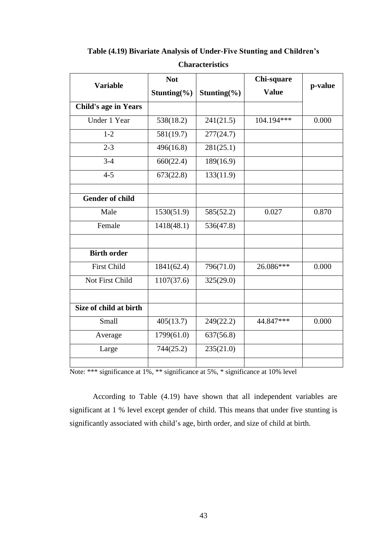| <b>Variable</b>             | <b>Not</b>  |                  | Chi-square   |         |
|-----------------------------|-------------|------------------|--------------|---------|
|                             | Stunting(%) | Stunting $(\% )$ | <b>Value</b> | p-value |
| <b>Child's age in Years</b> |             |                  |              |         |
| Under 1 Year                | 538(18.2)   | 241(21.5)        | 104.194***   | 0.000   |
| $1 - 2$                     | 581(19.7)   | 277(24.7)        |              |         |
| $2 - 3$                     | 496(16.8)   | 281(25.1)        |              |         |
| $3-4$                       | 660(22.4)   | 189(16.9)        |              |         |
| $4 - 5$                     | 673(22.8)   | 133(11.9)        |              |         |
|                             |             |                  |              |         |
| <b>Gender of child</b>      |             |                  |              |         |
| Male                        | 1530(51.9)  | 585(52.2)        | 0.027        | 0.870   |
| Female                      | 1418(48.1)  | 536(47.8)        |              |         |
|                             |             |                  |              |         |
| <b>Birth order</b>          |             |                  |              |         |
| <b>First Child</b>          | 1841(62.4)  | 796(71.0)        | 26.086***    | 0.000   |
| Not First Child             | 1107(37.6)  | 325(29.0)        |              |         |
|                             |             |                  |              |         |
| Size of child at birth      |             |                  |              |         |
| Small                       | 405(13.7)   | 249(22.2)        | 44.847***    | 0.000   |
| Average                     | 1799(61.0)  | 637(56.8)        |              |         |
| Large                       | 744(25.2)   | 235(21.0)        |              |         |
|                             |             |                  |              |         |

**Table (4.19) Bivariate Analysis of Under-Five Stunting and Children's** 

**Characteristics**

According to Table (4.19) have shown that all independent variables are significant at 1 % level except gender of child. This means that under five stunting is significantly associated with child's age, birth order, and size of child at birth.

Note: \*\*\* significance at 1%, \*\* significance at 5%, \* significance at 10% level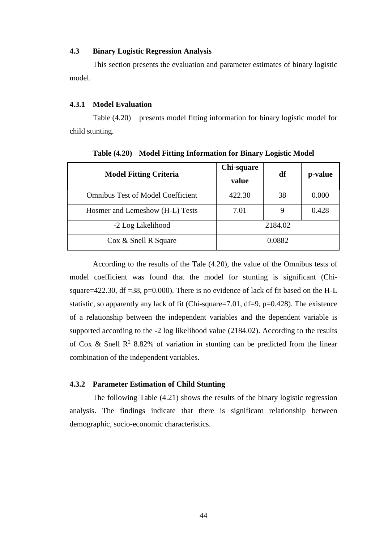#### **4.3 Binary Logistic Regression Analysis**

This section presents the evaluation and parameter estimates of binary logistic model.

### **4.3.1 Model Evaluation**

Table (4.20) presents model fitting information for binary logistic model for child stunting.

| <b>Model Fitting Criteria</b>            | Chi-square<br>value | df | p-value |  |
|------------------------------------------|---------------------|----|---------|--|
| <b>Omnibus Test of Model Coefficient</b> | 422.30              | 38 | 0.000   |  |
| Hosmer and Lemeshow (H-L) Tests          | 7.01                |    | 0.428   |  |
| -2 Log Likelihood                        | 2184.02             |    |         |  |
| Cox & Snell R Square                     | 0.0882              |    |         |  |

**Table (4.20) Model Fitting Information for Binary Logistic Model**

According to the results of the Tale (4.20), the value of the Omnibus tests of model coefficient was found that the model for stunting is significant (Chisquare=422.30, df =38, p=0.000). There is no evidence of lack of fit based on the H-L statistic, so apparently any lack of fit (Chi-square=7.01, df=9, p=0.428). The existence of a relationship between the independent variables and the dependent variable is supported according to the -2 log likelihood value (2184.02). According to the results of Cox & Snell  $\mathbb{R}^2$  8.82% of variation in stunting can be predicted from the linear combination of the independent variables.

### **4.3.2 Parameter Estimation of Child Stunting**

The following Table (4.21) shows the results of the binary logistic regression analysis. The findings indicate that there is significant relationship between demographic, socio-economic characteristics.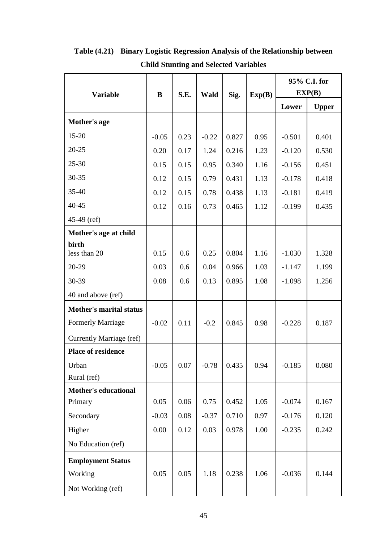|                                |         |      |         |       | 95% C.I. for |          |              |
|--------------------------------|---------|------|---------|-------|--------------|----------|--------------|
| <b>Variable</b>                | B       | S.E. | Wald    | Sig.  | Exp(B)       |          | EXP(B)       |
|                                |         |      |         |       |              | Lower    | <b>Upper</b> |
| Mother's age                   |         |      |         |       |              |          |              |
| $15 - 20$                      | $-0.05$ | 0.23 | $-0.22$ | 0.827 | 0.95         | $-0.501$ | 0.401        |
| $20 - 25$                      | 0.20    | 0.17 | 1.24    | 0.216 | 1.23         | $-0.120$ | 0.530        |
| $25 - 30$                      | 0.15    | 0.15 | 0.95    | 0.340 | 1.16         | $-0.156$ | 0.451        |
| 30-35                          | 0.12    | 0.15 | 0.79    | 0.431 | 1.13         | $-0.178$ | 0.418        |
| $35 - 40$                      | 0.12    | 0.15 | 0.78    | 0.438 | 1.13         | $-0.181$ | 0.419        |
| $40 - 45$                      | 0.12    | 0.16 | 0.73    | 0.465 | 1.12         | $-0.199$ | 0.435        |
| $45-49$ (ref)                  |         |      |         |       |              |          |              |
| Mother's age at child          |         |      |         |       |              |          |              |
| birth<br>less than 20          | 0.15    | 0.6  | 0.25    | 0.804 | 1.16         | $-1.030$ | 1.328        |
| 20-29                          | 0.03    | 0.6  | 0.04    | 0.966 | 1.03         | $-1.147$ | 1.199        |
| 30-39                          | 0.08    | 0.6  | 0.13    | 0.895 | 1.08         | $-1.098$ | 1.256        |
| 40 and above (ref)             |         |      |         |       |              |          |              |
| <b>Mother's marital status</b> |         |      |         |       |              |          |              |
| <b>Formerly Marriage</b>       | $-0.02$ | 0.11 | $-0.2$  | 0.845 | 0.98         | $-0.228$ | 0.187        |
| Currently Marriage (ref)       |         |      |         |       |              |          |              |
| <b>Place of residence</b>      |         |      |         |       |              |          |              |
| Urban                          | $-0.05$ | 0.07 | $-0.78$ | 0.435 | 0.94         | $-0.185$ | 0.080        |
| Rural (ref)                    |         |      |         |       |              |          |              |
| <b>Mother's educational</b>    |         |      |         |       |              |          |              |
| Primary                        | 0.05    | 0.06 | 0.75    | 0.452 | 1.05         | $-0.074$ | 0.167        |
| Secondary                      | $-0.03$ | 0.08 | $-0.37$ | 0.710 | 0.97         | $-0.176$ | 0.120        |
| Higher                         | 0.00    | 0.12 | 0.03    | 0.978 | 1.00         | $-0.235$ | 0.242        |
| No Education (ref)             |         |      |         |       |              |          |              |
| <b>Employment Status</b>       |         |      |         |       |              |          |              |
| Working                        | 0.05    | 0.05 | 1.18    | 0.238 | 1.06         | $-0.036$ | 0.144        |
| Not Working (ref)              |         |      |         |       |              |          |              |

**Table (4.21) Binary Logistic Regression Analysis of the Relationship between Child Stunting and Selected Variables**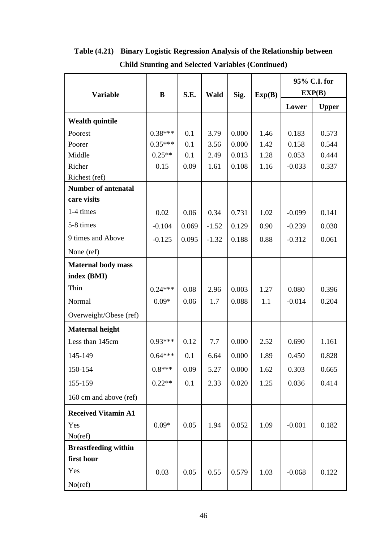|                             |           |              |         |        |      | 95% C.I. for |              |
|-----------------------------|-----------|--------------|---------|--------|------|--------------|--------------|
| <b>Variable</b>             | B         | S.E.<br>Wald | Sig.    | Exp(B) |      | EXP(B)       |              |
|                             |           |              |         |        |      | Lower        | <b>Upper</b> |
| <b>Wealth quintile</b>      |           |              |         |        |      |              |              |
| Poorest                     | $0.38***$ | 0.1          | 3.79    | 0.000  | 1.46 | 0.183        | 0.573        |
| Poorer                      | $0.35***$ | 0.1          | 3.56    | 0.000  | 1.42 | 0.158        | 0.544        |
| Middle                      | $0.25**$  | 0.1          | 2.49    | 0.013  | 1.28 | 0.053        | 0.444        |
| Richer                      | 0.15      | 0.09         | 1.61    | 0.108  | 1.16 | $-0.033$     | 0.337        |
| Richest (ref)               |           |              |         |        |      |              |              |
| <b>Number of antenatal</b>  |           |              |         |        |      |              |              |
| care visits                 |           |              |         |        |      |              |              |
| 1-4 times                   | 0.02      | 0.06         | 0.34    | 0.731  | 1.02 | $-0.099$     | 0.141        |
| 5-8 times                   | $-0.104$  | 0.069        | $-1.52$ | 0.129  | 0.90 | $-0.239$     | 0.030        |
| 9 times and Above           | $-0.125$  | 0.095        | $-1.32$ | 0.188  | 0.88 | $-0.312$     | 0.061        |
| None (ref)                  |           |              |         |        |      |              |              |
| <b>Maternal body mass</b>   |           |              |         |        |      |              |              |
| index (BMI)                 |           |              |         |        |      |              |              |
| Thin                        | $0.24***$ | 0.08         | 2.96    | 0.003  | 1.27 | 0.080        | 0.396        |
| Normal                      | $0.09*$   | 0.06         | 1.7     | 0.088  | 1.1  | $-0.014$     | 0.204        |
| Overweight/Obese (ref)      |           |              |         |        |      |              |              |
| <b>Maternal height</b>      |           |              |         |        |      |              |              |
| Less than 145cm             | $0.93***$ | 0.12         | 7.7     | 0.000  | 2.52 | 0.690        | 1.161        |
| 145-149                     | $0.64***$ | 0.1          | 6.64    | 0.000  | 1.89 | 0.450        | 0.828        |
| 150-154                     | $0.8***$  | 0.09         | 5.27    | 0.000  | 1.62 | 0.303        | 0.665        |
| 155-159                     | $0.22**$  | 0.1          | 2.33    | 0.020  | 1.25 | 0.036        | 0.414        |
| 160 cm and above (ref)      |           |              |         |        |      |              |              |
| <b>Received Vitamin A1</b>  |           |              |         |        |      |              |              |
| Yes                         | $0.09*$   | 0.05         | 1.94    | 0.052  | 1.09 | $-0.001$     | 0.182        |
| No(ref)                     |           |              |         |        |      |              |              |
| <b>Breastfeeding within</b> |           |              |         |        |      |              |              |
| first hour                  |           |              |         |        |      |              |              |
| Yes                         | 0.03      | 0.05         | 0.55    | 0.579  | 1.03 | $-0.068$     | 0.122        |
| No(ref)                     |           |              |         |        |      |              |              |

**Table (4.21) Binary Logistic Regression Analysis of the Relationship between Child Stunting and Selected Variables (Continued)**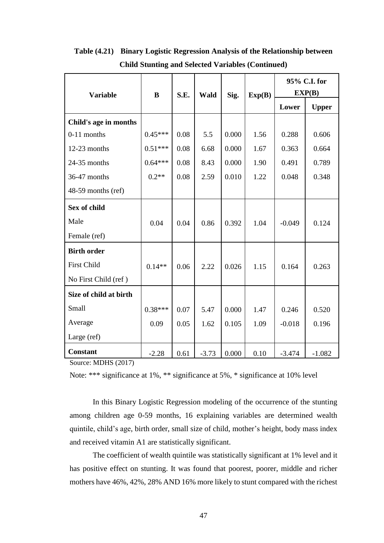|                        |           |      |         |       |        | 95% C.I. for |              |
|------------------------|-----------|------|---------|-------|--------|--------------|--------------|
| <b>Variable</b>        | B         | S.E. | Wald    | Sig.  | Exp(B) | EXP(B)       |              |
|                        |           |      |         |       |        | Lower        | <b>Upper</b> |
| Child's age in months  |           |      |         |       |        |              |              |
| $0-11$ months          | $0.45***$ | 0.08 | 5.5     | 0.000 | 1.56   | 0.288        | 0.606        |
| 12-23 months           | $0.51***$ | 0.08 | 6.68    | 0.000 | 1.67   | 0.363        | 0.664        |
| 24-35 months           | $0.64***$ | 0.08 | 8.43    | 0.000 | 1.90   | 0.491        | 0.789        |
| 36-47 months           | $0.2**$   | 0.08 | 2.59    | 0.010 | 1.22   | 0.048        | 0.348        |
| 48-59 months (ref)     |           |      |         |       |        |              |              |
| Sex of child           |           |      |         |       |        |              |              |
| Male                   | 0.04      | 0.04 | 0.86    | 0.392 | 1.04   | $-0.049$     | 0.124        |
| Female (ref)           |           |      |         |       |        |              |              |
| <b>Birth order</b>     |           |      |         |       |        |              |              |
| <b>First Child</b>     | $0.14**$  | 0.06 | 2.22    | 0.026 | 1.15   | 0.164        | 0.263        |
| No First Child (ref)   |           |      |         |       |        |              |              |
| Size of child at birth |           |      |         |       |        |              |              |
| Small                  | $0.38***$ | 0.07 | 5.47    | 0.000 | 1.47   | 0.246        | 0.520        |
| Average                | 0.09      | 0.05 | 1.62    | 0.105 | 1.09   | $-0.018$     | 0.196        |
| Large (ref)            |           |      |         |       |        |              |              |
| <b>Constant</b>        | $-2.28$   | 0.61 | $-3.73$ | 0.000 | 0.10   | $-3.474$     | $-1.082$     |

**Table (4.21) Binary Logistic Regression Analysis of the Relationship between Child Stunting and Selected Variables (Continued)**

Source: MDHS (2017)

Note: \*\*\* significance at 1%, \*\* significance at 5%, \* significance at 10% level

In this Binary Logistic Regression modeling of the occurrence of the stunting among children age 0-59 months, 16 explaining variables are determined wealth quintile, child's age, birth order, small size of child, mother's height, body mass index and received vitamin A1 are statistically significant.

The coefficient of wealth quintile was statistically significant at 1% level and it has positive effect on stunting. It was found that poorest, poorer, middle and richer mothers have 46%, 42%, 28% AND 16% more likely to stunt compared with the richest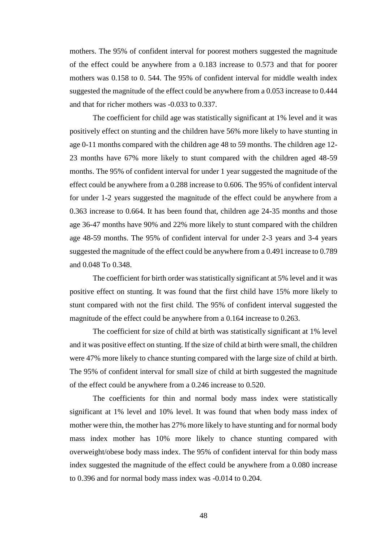mothers. The 95% of confident interval for poorest mothers suggested the magnitude of the effect could be anywhere from a 0.183 increase to 0.573 and that for poorer mothers was 0.158 to 0. 544. The 95% of confident interval for middle wealth index suggested the magnitude of the effect could be anywhere from a 0.053 increase to 0.444 and that for richer mothers was -0.033 to 0.337.

The coefficient for child age was statistically significant at 1% level and it was positively effect on stunting and the children have 56% more likely to have stunting in age 0-11 months compared with the children age 48 to 59 months. The children age 12- 23 months have 67% more likely to stunt compared with the children aged 48-59 months. The 95% of confident interval for under 1 year suggested the magnitude of the effect could be anywhere from a 0.288 increase to 0.606. The 95% of confident interval for under 1-2 years suggested the magnitude of the effect could be anywhere from a 0.363 increase to 0.664. It has been found that, children age 24-35 months and those age 36-47 months have 90% and 22% more likely to stunt compared with the children age 48-59 months. The 95% of confident interval for under 2-3 years and 3-4 years suggested the magnitude of the effect could be anywhere from a 0.491 increase to 0.789 and 0.048 To 0.348.

The coefficient for birth order was statistically significant at 5% level and it was positive effect on stunting. It was found that the first child have 15% more likely to stunt compared with not the first child. The 95% of confident interval suggested the magnitude of the effect could be anywhere from a 0.164 increase to 0.263.

The coefficient for size of child at birth was statistically significant at 1% level and it was positive effect on stunting. If the size of child at birth were small, the children were 47% more likely to chance stunting compared with the large size of child at birth. The 95% of confident interval for small size of child at birth suggested the magnitude of the effect could be anywhere from a 0.246 increase to 0.520.

The coefficients for thin and normal body mass index were statistically significant at 1% level and 10% level. It was found that when body mass index of mother were thin, the mother has 27% more likely to have stunting and for normal body mass index mother has 10% more likely to chance stunting compared with overweight/obese body mass index. The 95% of confident interval for thin body mass index suggested the magnitude of the effect could be anywhere from a 0.080 increase to 0.396 and for normal body mass index was -0.014 to 0.204.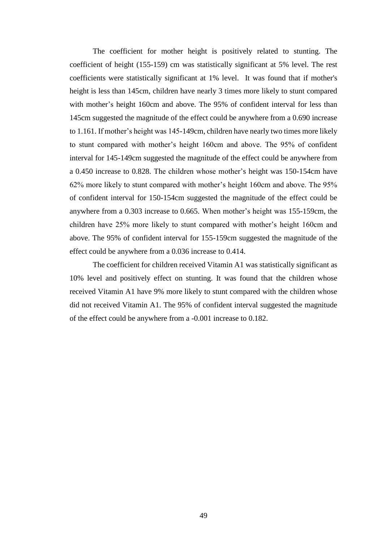The coefficient for mother height is positively related to stunting. The coefficient of height (155-159) cm was statistically significant at 5% level. The rest coefficients were statistically significant at 1% level. It was found that if mother's height is less than 145cm, children have nearly 3 times more likely to stunt compared with mother's height 160cm and above. The 95% of confident interval for less than 145cm suggested the magnitude of the effect could be anywhere from a 0.690 increase to 1.161. If mother's height was 145-149cm, children have nearly two times more likely to stunt compared with mother's height 160cm and above. The 95% of confident interval for 145-149cm suggested the magnitude of the effect could be anywhere from a 0.450 increase to 0.828. The children whose mother's height was 150-154cm have 62% more likely to stunt compared with mother's height 160cm and above. The 95% of confident interval for 150-154cm suggested the magnitude of the effect could be anywhere from a 0.303 increase to 0.665. When mother's height was 155-159cm, the children have 25% more likely to stunt compared with mother's height 160cm and above. The 95% of confident interval for 155-159cm suggested the magnitude of the effect could be anywhere from a 0.036 increase to 0.414.

The coefficient for children received Vitamin A1 was statistically significant as 10% level and positively effect on stunting. It was found that the children whose received Vitamin A1 have 9% more likely to stunt compared with the children whose did not received Vitamin A1. The 95% of confident interval suggested the magnitude of the effect could be anywhere from a -0.001 increase to 0.182.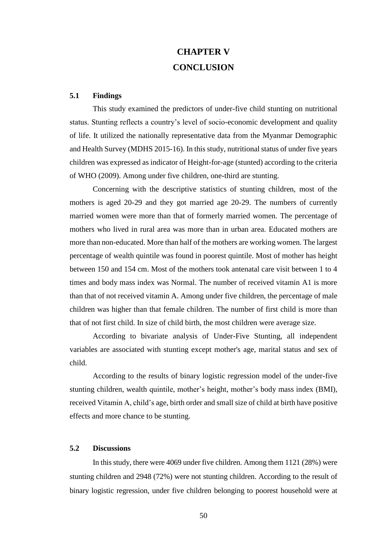# **CHAPTER V CONCLUSION**

### **5.1 Findings**

This study examined the predictors of under-five child stunting on nutritional status. Stunting reflects a country's level of socio-economic development and quality of life. It utilized the nationally representative data from the Myanmar Demographic and Health Survey (MDHS 2015-16). In this study, nutritional status of under five years children was expressed as indicator of Height-for-age (stunted) according to the criteria of WHO (2009). Among under five children, one-third are stunting.

Concerning with the descriptive statistics of stunting children, most of the mothers is aged 20-29 and they got married age 20-29. The numbers of currently married women were more than that of formerly married women. The percentage of mothers who lived in rural area was more than in urban area. Educated mothers are more than non-educated. More than half of the mothers are working women. The largest percentage of wealth quintile was found in poorest quintile. Most of mother has height between 150 and 154 cm. Most of the mothers took antenatal care visit between 1 to 4 times and body mass index was Normal. The number of received vitamin A1 is more than that of not received vitamin A. Among under five children, the percentage of male children was higher than that female children. The number of first child is more than that of not first child. In size of child birth, the most children were average size.

According to bivariate analysis of Under-Five Stunting, all independent variables are associated with stunting except mother's age, marital status and sex of child.

According to the results of binary logistic regression model of the under-five stunting children, wealth quintile, mother's height, mother's body mass index (BMI), received Vitamin A, child's age, birth order and small size of child at birth have positive effects and more chance to be stunting.

### **5.2 Discussions**

In this study, there were 4069 under five children. Among them 1121 (28%) were stunting children and 2948 (72%) were not stunting children. According to the result of binary logistic regression, under five children belonging to poorest household were at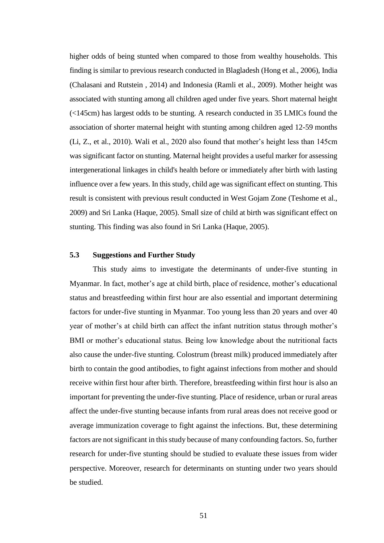higher odds of being stunted when compared to those from wealthy households. This finding is similar to previous research conducted in Blagladesh (Hong et al., 2006), India (Chalasani and Rutstein , 2014) and Indonesia (Ramli et al., 2009). Mother height was associated with stunting among all children aged under five years. Short maternal height (<145cm) has largest odds to be stunting. A research conducted in 35 LMICs found the association of shorter maternal height with stunting among children aged 12-59 months (Li, Z., et al., 2010). Wali et al., 2020 also found that mother's height less than 145cm was significant factor on stunting. Maternal height provides a useful marker for assessing intergenerational linkages in child's health before or immediately after birth with lasting influence over a few years. In this study, child age was significant effect on stunting. This result is consistent with previous result conducted in West Gojam Zone (Teshome et al., 2009) and Sri Lanka (Haque, 2005). Small size of child at birth was significant effect on stunting. This finding was also found in Sri Lanka (Haque, 2005).

### **5.3 Suggestions and Further Study**

This study aims to investigate the determinants of under-five stunting in Myanmar. In fact, mother's age at child birth, place of residence, mother's educational status and breastfeeding within first hour are also essential and important determining factors for under-five stunting in Myanmar. Too young less than 20 years and over 40 year of mother's at child birth can affect the infant nutrition status through mother's BMI or mother's educational status. Being low knowledge about the nutritional facts also cause the under-five stunting. Colostrum (breast milk) produced immediately after birth to contain the good antibodies, to fight against infections from mother and should receive within first hour after birth. Therefore, breastfeeding within first hour is also an important for preventing the under-five stunting. Place of residence, urban or rural areas affect the under-five stunting because infants from rural areas does not receive good or average immunization coverage to fight against the infections. But, these determining factors are not significant in thisstudy because of many confounding factors. So, further research for under-five stunting should be studied to evaluate these issues from wider perspective. Moreover, research for determinants on stunting under two years should be studied.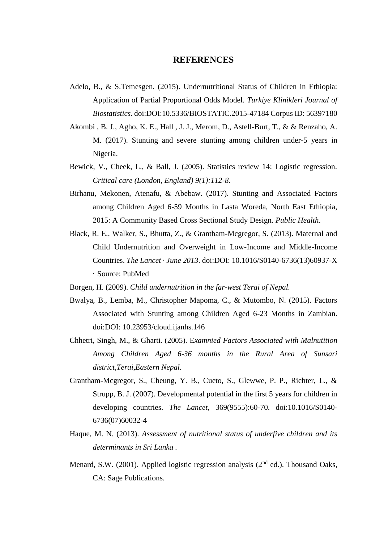### **REFERENCES**

- Adelo, B., & S.Temesgen. (2015). Undernutritional Status of Children in Ethiopia: Application of Partial Proportional Odds Model. *Turkiye Klinikleri Journal of Biostatistics*. doi:DOI:10.5336/BIOSTATIC.2015-47184 Corpus ID: 56397180
- Akombi , B. J., Agho, K. E., Hall , J. J., Merom, D., Astell-Burt, T., & & Renzaho, A. M. (2017). Stunting and severe stunting among children under-5 years in Nigeria.
- Bewick, V., Cheek, L., & Ball, J. (2005). Statistics review 14: Logistic regression. *Critical care (London, England) 9(1):112-8*.
- Birhanu, Mekonen, Atenafu, & Abebaw. (2017). Stunting and Associated Factors among Children Aged 6-59 Months in Lasta Woreda, North East Ethiopia, 2015: A Community Based Cross Sectional Study Design. *Public Health*.
- Black, R. E., Walker, S., Bhutta, Z., & Grantham-Mcgregor, S. (2013). Maternal and Child Undernutrition and Overweight in Low-Income and Middle-Income Countries. *The Lancet · June 2013*. doi:DOI: 10.1016/S0140-6736(13)60937-X · Source: PubMed
- Borgen, H. (2009). *Child undernutrition in the far-west Terai of Nepal.*
- Bwalya, B., Lemba, M., Christopher Mapoma, C., & Mutombo, N. (2015). Factors Associated with Stunting among Children Aged 6-23 Months in Zambian. doi:DOI: 10.23953/cloud.ijanhs.146
- Chhetri, Singh, M., & Gharti. (2005). E*xamnied Factors Associated with Malnutition Among Children Aged 6-36 months in the Rural Area of Sunsari district,Terai,Eastern Nepal.*
- Grantham-Mcgregor, S., Cheung, Y. B., Cueto, S., Glewwe, P. P., Richter, L., & Strupp, B. J. (2007). Developmental potential in the first 5 years for children in developing countries. *The Lancet,* 369(9555):60-70. doi:10.1016/S0140- 6736(07)60032-4
- Haque, M. N. (2013). *Assessment of nutritional status of underfive children and its determinants in Sri Lanka .*
- Menard, S.W. (2001). Applied logistic regression analysis (2<sup>nd</sup> ed.). Thousand Oaks, CA: Sage Publications.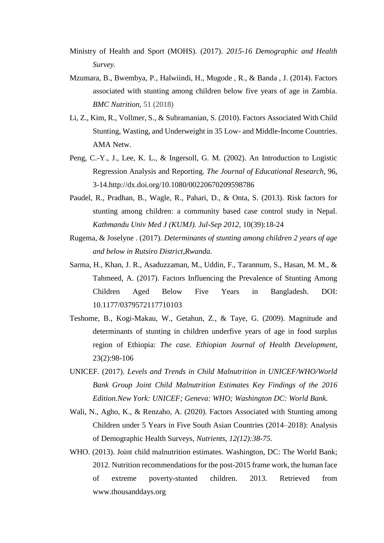- Ministry of Health and Sport (MOHS). (2017). *2015-16 Demographic and Health Survey.*
- Mzumara, B., Bwembya, P., Halwiindi, H., Mugode , R., & Banda , J. (2014). Factors associated with stunting among children below five years of age in Zambia. *BMC Nutrition,* 51 (2018)
- Li, Z., Kim, R., Vollmer, S., & Subramanian, S. (2010). Factors Associated With Child Stunting, Wasting, and Underweight in 35 Low- and Middle-Income Countries. AMA Netw.
- Peng, C.-Y., J., Lee, K. L., & Ingersoll, G. M. (2002). An Introduction to Logistic Regression Analysis and Reporting. *The Journal of Educational Research*, 96, 3-14.http://dx.doi.org/10.1080/00220670209598786
- Paudel, R., Pradhan, B., Wagle, R., Pahari, D., & Onta, S. (2013). Risk factors for stunting among children: a community based case control study in Nepal. *Kathmandu Univ Med J (KUMJ). Jul-Sep 2012,* 10(39):18-24
- Rugema, & Joselyne . (2017). *Determinants of stunting among children 2 years of age and below in Rutsiro District,Rwanda.*
- Sarma, H., Khan, J. R., Asaduzzaman, M., Uddin, F., Tarannum, S., Hasan, M. M., & Tahmeed, A. (2017). Factors Influencing the Prevalence of Stunting Among Children Aged Below Five Years in Bangladesh. DOI: 10.1177/0379572117710103
- Teshome, B., Kogi-Makau, W., Getahun, Z., & Taye, G. (2009). Magnitude and determinants of stunting in children underfive years of age in food surplus region of Ethiopia: *The case. Ethiopian Journal of Health Development*, 23(2):98-106
- UNICEF. (2017). *Levels and Trends in Child Malnutrition in UNICEF/WHO/World Bank Group Joint Child Malnutrition Estimates Key Findings of the 2016 Edition.New York: UNICEF; Geneva: WHO; Washington DC: World Bank.*
- Wali, N., Agho, K., & Renzaho, A. (2020). Factors Associated with Stunting among Children under 5 Years in Five South Asian Countries (2014–2018): Analysis of Demographic Health Surveys, *Nutrients, 12(12):38-75*.
- WHO. (2013). Joint child malnutrition estimates. Washington, DC: The World Bank; 2012. Nutrition recommendations for the post-2015 frame work, the human face of extreme poverty-stunted children. 2013. Retrieved from www.thousanddays.org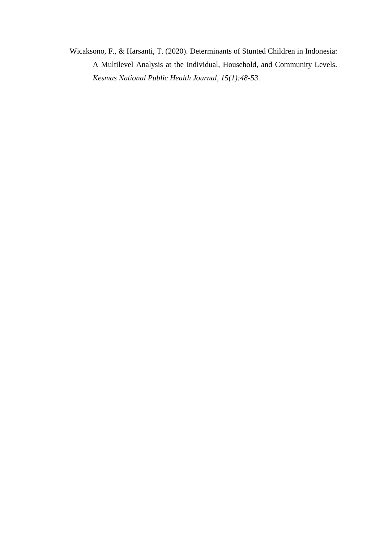Wicaksono, F., & Harsanti, T. (2020). Determinants of Stunted Children in Indonesia: A Multilevel Analysis at the Individual, Household, and Community Levels. *Kesmas National Public Health Journal, 15(1):48-53*.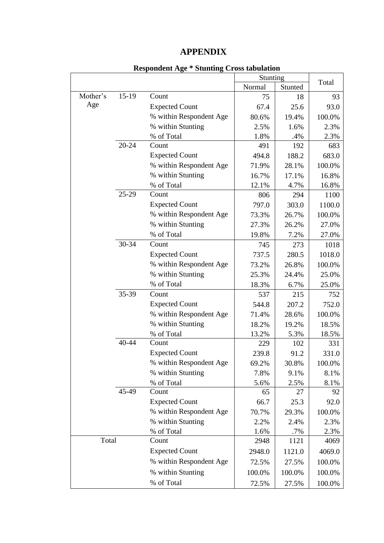# **APPENDIX**

|          |         | $\frac{1}{2}$           | Stunting |         |        |
|----------|---------|-------------------------|----------|---------|--------|
|          |         |                         | Normal   | Stunted | Total  |
| Mother's | $15-19$ | Count                   | 75       | 18      | 93     |
| Age      |         | <b>Expected Count</b>   | 67.4     | 25.6    | 93.0   |
|          |         | % within Respondent Age | 80.6%    | 19.4%   | 100.0% |
|          |         | % within Stunting       | 2.5%     | 1.6%    | 2.3%   |
|          |         | % of Total              | 1.8%     | .4%     | 2.3%   |
|          | 20-24   | Count                   | 491      | 192     | 683    |
|          |         | <b>Expected Count</b>   | 494.8    | 188.2   | 683.0  |
|          |         | % within Respondent Age | 71.9%    | 28.1%   | 100.0% |
|          |         | % within Stunting       | 16.7%    | 17.1%   | 16.8%  |
|          |         | % of Total              | 12.1%    | 4.7%    | 16.8%  |
|          | 25-29   | Count                   | 806      | 294     | 1100   |
|          |         | <b>Expected Count</b>   | 797.0    | 303.0   | 1100.0 |
|          |         | % within Respondent Age | 73.3%    | 26.7%   | 100.0% |
|          |         | % within Stunting       | 27.3%    | 26.2%   | 27.0%  |
|          |         | % of Total              | 19.8%    | 7.2%    | 27.0%  |
|          | 30-34   | Count                   | 745      | 273     | 1018   |
|          |         | <b>Expected Count</b>   | 737.5    | 280.5   | 1018.0 |
|          |         | % within Respondent Age | 73.2%    | 26.8%   | 100.0% |
|          |         | % within Stunting       | 25.3%    | 24.4%   | 25.0%  |
|          |         | % of Total              | 18.3%    | 6.7%    | 25.0%  |
|          | 35-39   | Count                   | 537      | 215     | 752    |
|          |         | <b>Expected Count</b>   | 544.8    | 207.2   | 752.0  |
|          |         | % within Respondent Age | 71.4%    | 28.6%   | 100.0% |
|          |         | % within Stunting       | 18.2%    | 19.2%   | 18.5%  |
|          |         | % of Total              | 13.2%    | 5.3%    | 18.5%  |
|          | 40-44   | Count                   | 229      | 102     | 331    |
|          |         | <b>Expected Count</b>   | 239.8    | 91.2    | 331.0  |
|          |         | % within Respondent Age | 69.2%    | 30.8%   | 100.0% |
|          |         | % within Stunting       | 7.8%     | 9.1%    | 8.1%   |
|          |         | % of Total              | 5.6%     | 2.5%    | 8.1%   |
|          | 45-49   | Count                   | 65       | 27      | 92     |
|          |         | <b>Expected Count</b>   | 66.7     | 25.3    | 92.0   |
|          |         | % within Respondent Age | 70.7%    | 29.3%   | 100.0% |
|          |         | % within Stunting       | 2.2%     | 2.4%    | 2.3%   |
|          |         | % of Total              | 1.6%     | .7%     | 2.3%   |
| Total    |         | Count                   | 2948     | 1121    | 4069   |
|          |         | <b>Expected Count</b>   | 2948.0   | 1121.0  | 4069.0 |
|          |         | % within Respondent Age | 72.5%    | 27.5%   | 100.0% |
|          |         | % within Stunting       | 100.0%   | 100.0%  | 100.0% |
|          |         | % of Total              | 72.5%    | 27.5%   | 100.0% |

## **Respondent Age \* Stunting Cross tabulation**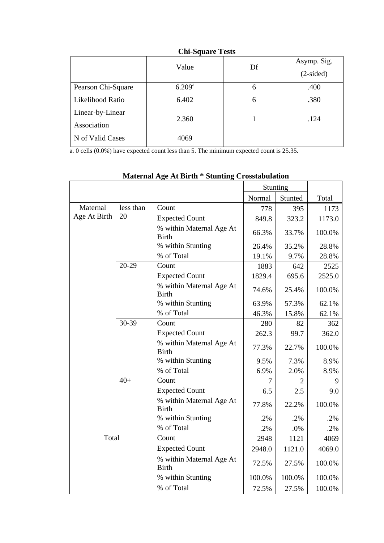| Asymp. Sig.<br>$(2-sided)$ |
|----------------------------|
| .400                       |
| .380                       |
| .124                       |
|                            |
|                            |
|                            |

a. 0 cells (0.0%) have expected count less than 5. The minimum expected count is 25.35.

|              |           |                                          |        | Stunting |        |
|--------------|-----------|------------------------------------------|--------|----------|--------|
|              |           |                                          | Normal | Stunted  | Total  |
| Maternal     | less than | Count                                    | 778    | 395      | 1173   |
| Age At Birth | 20        | <b>Expected Count</b>                    | 849.8  | 323.2    | 1173.0 |
|              |           | % within Maternal Age At<br><b>Birth</b> | 66.3%  | 33.7%    | 100.0% |
|              |           | % within Stunting                        | 26.4%  | 35.2%    | 28.8%  |
|              |           | % of Total                               | 19.1%  | 9.7%     | 28.8%  |
|              | $20-29$   | Count                                    | 1883   | 642      | 2525   |
|              |           | <b>Expected Count</b>                    | 1829.4 | 695.6    | 2525.0 |
|              |           | % within Maternal Age At<br><b>Birth</b> | 74.6%  | 25.4%    | 100.0% |
|              |           | % within Stunting                        | 63.9%  | 57.3%    | 62.1%  |
|              |           | % of Total                               | 46.3%  | 15.8%    | 62.1%  |
|              | 30-39     | Count                                    | 280    | 82       | 362    |
|              |           | <b>Expected Count</b>                    | 262.3  | 99.7     | 362.0  |
|              |           | % within Maternal Age At<br><b>Birth</b> | 77.3%  | 22.7%    | 100.0% |
|              |           | % within Stunting                        | 9.5%   | 7.3%     | 8.9%   |
|              |           | % of Total                               | 6.9%   | 2.0%     | 8.9%   |
|              | $40+$     | Count                                    | 7      | 2        | 9      |
|              |           | <b>Expected Count</b>                    | 6.5    | 2.5      | 9.0    |
|              |           | % within Maternal Age At<br><b>Birth</b> | 77.8%  | 22.2%    | 100.0% |
|              |           | % within Stunting                        | .2%    | .2%      | .2%    |
|              |           | % of Total                               | .2%    | $.0\%$   | .2%    |
| Total        |           | Count                                    | 2948   | 1121     | 4069   |
|              |           | <b>Expected Count</b>                    | 2948.0 | 1121.0   | 4069.0 |
|              |           | % within Maternal Age At<br><b>Birth</b> | 72.5%  | 27.5%    | 100.0% |
|              |           | % within Stunting                        | 100.0% | 100.0%   | 100.0% |
|              |           | % of Total                               | 72.5%  | 27.5%    | 100.0% |

# **Maternal Age At Birth \* Stunting Crosstabulation**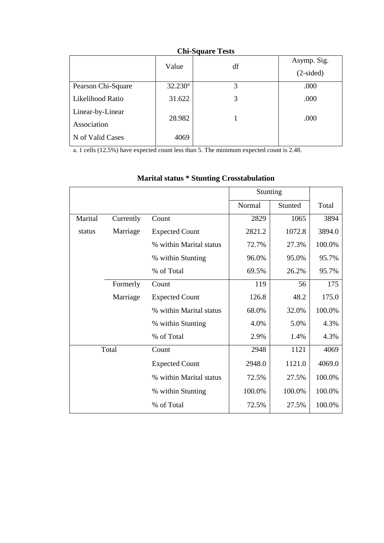|                    | Value      | df | Asymp. Sig. |
|--------------------|------------|----|-------------|
|                    |            |    | $(2-sided)$ |
| Pearson Chi-Square | $32.230^a$ | 3  | .000        |
| Likelihood Ratio   | 31.622     | 3  | .000        |
| Linear-by-Linear   | 28.982     |    | .000        |
| Association        |            |    |             |
| N of Valid Cases   | 4069       |    |             |

a. 1 cells (12.5%) have expected count less than 5. The minimum expected count is 2.48.

|         |           |                         | Stunting |         |        |
|---------|-----------|-------------------------|----------|---------|--------|
|         |           |                         | Normal   | Stunted | Total  |
| Marital | Currently | Count                   | 2829     | 1065    | 3894   |
| status  | Marriage  | <b>Expected Count</b>   | 2821.2   | 1072.8  | 3894.0 |
|         |           | % within Marital status | 72.7%    | 27.3%   | 100.0% |
|         |           | % within Stunting       | 96.0%    | 95.0%   | 95.7%  |
|         |           | % of Total              | 69.5%    | 26.2%   | 95.7%  |
|         | Formerly  | Count                   | 119      | 56      | 175    |
|         | Marriage  | <b>Expected Count</b>   | 126.8    | 48.2    | 175.0  |
|         |           | % within Marital status | 68.0%    | 32.0%   | 100.0% |
|         |           | % within Stunting       | 4.0%     | 5.0%    | 4.3%   |
|         |           | % of Total              | 2.9%     | 1.4%    | 4.3%   |
|         | Total     | Count                   | 2948     | 1121    | 4069   |
|         |           | <b>Expected Count</b>   | 2948.0   | 1121.0  | 4069.0 |
|         |           | % within Marital status | 72.5%    | 27.5%   | 100.0% |
|         |           | % within Stunting       | 100.0%   | 100.0%  | 100.0% |
|         |           | % of Total              | 72.5%    | 27.5%   | 100.0% |

# **Marital status \* Stunting Crosstabulation**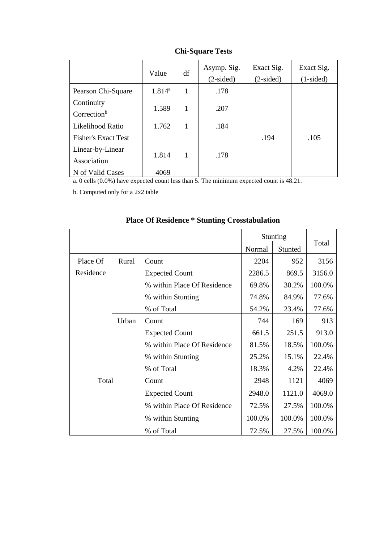|                                       | Value           | df           | Asymp. Sig.<br>$(2-sided)$ | Exact Sig.<br>$(2-sided)$ | Exact Sig.<br>$(1-sided)$ |
|---------------------------------------|-----------------|--------------|----------------------------|---------------------------|---------------------------|
| Pearson Chi-Square                    | $1.814^{\rm a}$ | 1            | .178                       |                           |                           |
| Continuity<br>Correction <sup>b</sup> | 1.589           | 1            | .207                       |                           |                           |
| Likelihood Ratio                      | 1.762           | 1            | .184                       |                           |                           |
| <b>Fisher's Exact Test</b>            |                 |              |                            | .194                      | .105                      |
| Linear-by-Linear<br>Association       | 1.814           | $\mathbf{1}$ | .178                       |                           |                           |
| N of Valid Cases                      | 4069            |              |                            |                           |                           |

a. 0 cells (0.0%) have expected count less than 5. The minimum expected count is 48.21.

b. Computed only for a 2x2 table

|           |       |                             |        | <b>Stunting</b> |        |
|-----------|-------|-----------------------------|--------|-----------------|--------|
|           |       |                             | Normal | Stunted         | Total  |
| Place Of  | Rural | Count                       | 2204   | 952             | 3156   |
| Residence |       | <b>Expected Count</b>       | 2286.5 | 869.5           | 3156.0 |
|           |       | % within Place Of Residence | 69.8%  | 30.2%           | 100.0% |
|           |       | % within Stunting           | 74.8%  | 84.9%           | 77.6%  |
|           |       | % of Total                  | 54.2%  | 23.4%           | 77.6%  |
|           | Urban | Count                       | 744    | 169             | 913    |
|           |       | <b>Expected Count</b>       | 661.5  | 251.5           | 913.0  |
|           |       | % within Place Of Residence | 81.5%  | 18.5%           | 100.0% |
|           |       | % within Stunting           | 25.2%  | 15.1%           | 22.4%  |
|           |       | % of Total                  | 18.3%  | 4.2%            | 22.4%  |
| Total     |       | Count                       | 2948   | 1121            | 4069   |
|           |       | <b>Expected Count</b>       | 2948.0 | 1121.0          | 4069.0 |
|           |       | % within Place Of Residence | 72.5%  | 27.5%           | 100.0% |
|           |       | % within Stunting           | 100.0% | 100.0%          | 100.0% |
|           |       | % of Total                  | 72.5%  | 27.5%           | 100.0% |

# **Place Of Residence \* Stunting Crosstabulation**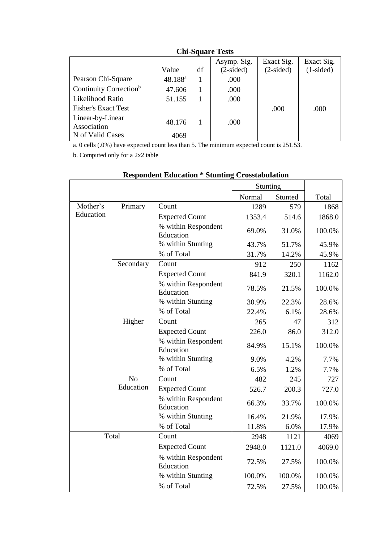|                                    |                     |    | Asymp. Sig. | Exact Sig.  | Exact Sig.  |
|------------------------------------|---------------------|----|-------------|-------------|-------------|
|                                    | Value               | df | $(2-sided)$ | $(2-sided)$ | $(1-sided)$ |
| Pearson Chi-Square                 | 48.188 <sup>a</sup> |    | .000        |             |             |
| Continuity Correction <sup>b</sup> | 47.606              |    | .000        |             |             |
| Likelihood Ratio                   | 51.155              |    | .000        |             |             |
| <b>Fisher's Exact Test</b>         |                     |    |             | .000        | .000        |
| Linear-by-Linear<br>Association    | 48.176              |    | .000        |             |             |
| N of Valid Cases                   | 4069                |    |             |             |             |

a. 0 cells (.0%) have expected count less than 5. The minimum expected count is 251.53.

b. Computed only for a 2x2 table

|           |                |                                  | Stunting |         |        |
|-----------|----------------|----------------------------------|----------|---------|--------|
|           |                |                                  | Normal   | Stunted | Total  |
| Mother's  | Primary        | Count                            | 1289     | 579     | 1868   |
| Education |                | <b>Expected Count</b>            | 1353.4   | 514.6   | 1868.0 |
|           |                | % within Respondent<br>Education | 69.0%    | 31.0%   | 100.0% |
|           |                | % within Stunting                | 43.7%    | 51.7%   | 45.9%  |
|           |                | % of Total                       | 31.7%    | 14.2%   | 45.9%  |
|           | Secondary      | Count                            | 912      | 250     | 1162   |
|           |                | <b>Expected Count</b>            | 841.9    | 320.1   | 1162.0 |
|           |                | % within Respondent<br>Education | 78.5%    | 21.5%   | 100.0% |
|           |                | % within Stunting                | 30.9%    | 22.3%   | 28.6%  |
|           |                | % of Total                       | 22.4%    | 6.1%    | 28.6%  |
|           | Higher         | Count                            | 265      | 47      | 312    |
|           |                | <b>Expected Count</b>            | 226.0    | 86.0    | 312.0  |
|           |                | % within Respondent<br>Education | 84.9%    | 15.1%   | 100.0% |
|           |                | % within Stunting                | 9.0%     | 4.2%    | 7.7%   |
|           |                | % of Total                       | 6.5%     | 1.2%    | 7.7%   |
|           | N <sub>o</sub> | Count                            | 482      | 245     | 727    |
|           | Education      | <b>Expected Count</b>            | 526.7    | 200.3   | 727.0  |
|           |                | % within Respondent<br>Education | 66.3%    | 33.7%   | 100.0% |
|           |                | % within Stunting                | 16.4%    | 21.9%   | 17.9%  |
|           |                | % of Total                       | 11.8%    | 6.0%    | 17.9%  |
|           | Total          | Count                            | 2948     | 1121    | 4069   |
|           |                | <b>Expected Count</b>            | 2948.0   | 1121.0  | 4069.0 |
|           |                | % within Respondent<br>Education | 72.5%    | 27.5%   | 100.0% |
|           |                | % within Stunting                | 100.0%   | 100.0%  | 100.0% |
|           |                | % of Total                       | 72.5%    | 27.5%   | 100.0% |

## **Respondent Education \* Stunting Crosstabulation**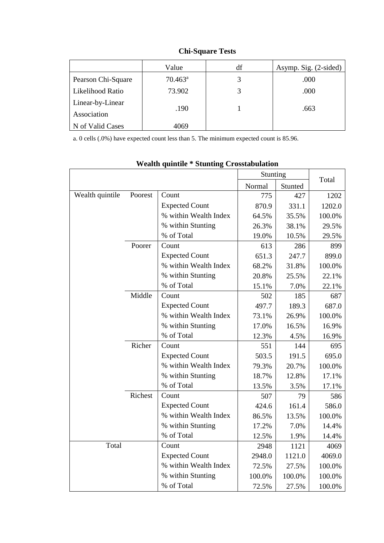|                    | Value               | df | Asymp. Sig. (2-sided) |
|--------------------|---------------------|----|-----------------------|
| Pearson Chi-Square | $70.463^{\text{a}}$ | 3  | .000                  |
| Likelihood Ratio   | 73.902              |    | .000                  |
| Linear-by-Linear   |                     |    |                       |
| Association        | .190                |    | .663                  |
| N of Valid Cases   | 4069                |    |                       |

a. 0 cells (.0%) have expected count less than 5. The minimum expected count is 85.96.

|                 |         |                       | Stunting |         | Total  |  |
|-----------------|---------|-----------------------|----------|---------|--------|--|
|                 |         |                       | Normal   | Stunted |        |  |
| Wealth quintile | Poorest | Count                 | 775      | 427     | 1202   |  |
|                 |         | <b>Expected Count</b> | 870.9    | 331.1   | 1202.0 |  |
|                 |         | % within Wealth Index | 64.5%    | 35.5%   | 100.0% |  |
|                 |         | % within Stunting     | 26.3%    | 38.1%   | 29.5%  |  |
|                 |         | % of Total            | 19.0%    | 10.5%   | 29.5%  |  |
|                 | Poorer  | Count                 | 613      | 286     | 899    |  |
|                 |         | <b>Expected Count</b> | 651.3    | 247.7   | 899.0  |  |
|                 |         | % within Wealth Index | 68.2%    | 31.8%   | 100.0% |  |
|                 |         | % within Stunting     | 20.8%    | 25.5%   | 22.1%  |  |
|                 |         | % of Total            | 15.1%    | 7.0%    | 22.1%  |  |
|                 | Middle  | Count                 | 502      | 185     | 687    |  |
|                 |         | <b>Expected Count</b> | 497.7    | 189.3   | 687.0  |  |
|                 |         | % within Wealth Index | 73.1%    | 26.9%   | 100.0% |  |
|                 |         | % within Stunting     | 17.0%    | 16.5%   | 16.9%  |  |
|                 |         | % of Total            | 12.3%    | 4.5%    | 16.9%  |  |
|                 | Richer  | Count                 | 551      | 144     | 695    |  |
|                 |         | <b>Expected Count</b> | 503.5    | 191.5   | 695.0  |  |
|                 |         | % within Wealth Index | 79.3%    | 20.7%   | 100.0% |  |
|                 |         | % within Stunting     | 18.7%    | 12.8%   | 17.1%  |  |
|                 |         | % of Total            | 13.5%    | 3.5%    | 17.1%  |  |
|                 | Richest | Count                 | 507      | 79      | 586    |  |
|                 |         | <b>Expected Count</b> | 424.6    | 161.4   | 586.0  |  |
|                 |         | % within Wealth Index | 86.5%    | 13.5%   | 100.0% |  |
|                 |         | % within Stunting     | 17.2%    | 7.0%    | 14.4%  |  |
|                 |         | % of Total            | 12.5%    | 1.9%    | 14.4%  |  |
| Total           |         | Count                 | 2948     | 1121    | 4069   |  |
|                 |         | <b>Expected Count</b> | 2948.0   | 1121.0  | 4069.0 |  |
|                 |         | % within Wealth Index | 72.5%    | 27.5%   | 100.0% |  |
|                 |         | % within Stunting     | 100.0%   | 100.0%  | 100.0% |  |
|                 |         | % of Total            | 72.5%    | 27.5%   | 100.0% |  |

# **Wealth quintile \* Stunting Crosstabulation**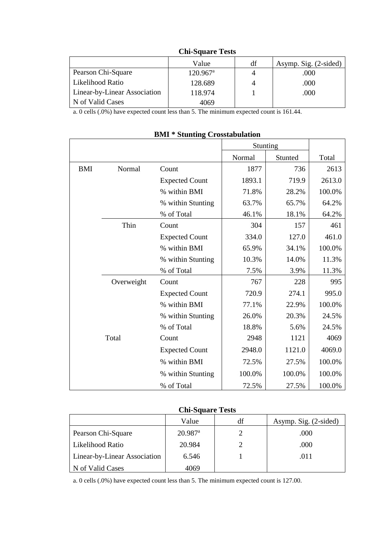| Asymp. Sig. (2-sided) |
|-----------------------|
| .000                  |
| .000                  |
| .000                  |
|                       |
|                       |

a. 0 cells (.0%) have expected count less than 5. The minimum expected count is 161.44.

|            |            |                       | Stunting |         |        |
|------------|------------|-----------------------|----------|---------|--------|
|            |            |                       | Normal   | Stunted | Total  |
| <b>BMI</b> | Normal     | Count                 | 1877     | 736     | 2613   |
|            |            | <b>Expected Count</b> | 1893.1   | 719.9   | 2613.0 |
|            |            | % within BMI          | 71.8%    | 28.2%   | 100.0% |
|            |            | % within Stunting     | 63.7%    | 65.7%   | 64.2%  |
|            |            | % of Total            | 46.1%    | 18.1%   | 64.2%  |
|            | Thin       | Count                 | 304      | 157     | 461    |
|            |            | <b>Expected Count</b> | 334.0    | 127.0   | 461.0  |
|            |            | % within BMI          | 65.9%    | 34.1%   | 100.0% |
|            |            | % within Stunting     | 10.3%    | 14.0%   | 11.3%  |
|            |            | % of Total            | 7.5%     | 3.9%    | 11.3%  |
|            | Overweight | Count                 | 767      | 228     | 995    |
|            |            | <b>Expected Count</b> | 720.9    | 274.1   | 995.0  |
|            |            | % within BMI          | 77.1%    | 22.9%   | 100.0% |
|            |            | % within Stunting     | 26.0%    | 20.3%   | 24.5%  |
|            |            | % of Total            | 18.8%    | 5.6%    | 24.5%  |
|            | Total      | Count                 | 2948     | 1121    | 4069   |
|            |            | <b>Expected Count</b> | 2948.0   | 1121.0  | 4069.0 |
|            |            | % within BMI          | 72.5%    | 27.5%   | 100.0% |
|            |            | % within Stunting     | 100.0%   | 100.0%  | 100.0% |
|            |            | % of Total            | 72.5%    | 27.5%   | 100.0% |

### **BMI \* Stunting Crosstabulation**

## **Chi-Square Tests**

|                              | Value                 | df | Asymp. Sig. (2-sided) |
|------------------------------|-----------------------|----|-----------------------|
| Pearson Chi-Square           | $20.987$ <sup>a</sup> |    | .000                  |
| Likelihood Ratio             | 20.984                |    | .000                  |
| Linear-by-Linear Association | 6.546                 |    | .011                  |
| N of Valid Cases             | 4069                  |    |                       |

a. 0 cells (.0%) have expected count less than 5. The minimum expected count is 127.00.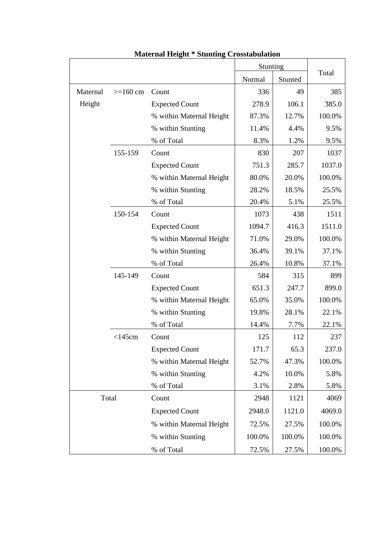|          |              |                          | Stunting<br>Normal<br>Stunted |        | Total  |
|----------|--------------|--------------------------|-------------------------------|--------|--------|
|          |              |                          |                               |        |        |
| Maternal | $>=160$ cm   | Count                    | 336                           | 49     | 385    |
| Height   |              | <b>Expected Count</b>    | 278.9                         | 106.1  | 385.0  |
|          |              | % within Maternal Height | 87.3%                         | 12.7%  | 100.0% |
|          |              | % within Stunting        | 11.4%                         | 4.4%   | 9.5%   |
|          |              | % of Total               | 8.3%                          | 1.2%   | 9.5%   |
|          | 155-159      | Count                    | 830                           | 207    | 1037   |
|          |              | <b>Expected Count</b>    | 751.3                         | 285.7  | 1037.0 |
|          |              | % within Maternal Height | 80.0%                         | 20.0%  | 100.0% |
|          |              | % within Stunting        | 28.2%                         | 18.5%  | 25.5%  |
|          |              | % of Total               | 20.4%                         | 5.1%   | 25.5%  |
|          | 150-154      | Count                    | 1073                          | 438    | 1511   |
|          |              | <b>Expected Count</b>    | 1094.7                        | 416.3  | 1511.0 |
|          |              | % within Maternal Height | 71.0%                         | 29.0%  | 100.0% |
|          |              | % within Stunting        | 36.4%                         | 39.1%  | 37.1%  |
|          |              | % of Total               | 26.4%                         | 10.8%  | 37.1%  |
|          | 145-149      | Count                    | 584                           | 315    | 899    |
|          |              | <b>Expected Count</b>    | 651.3                         | 247.7  | 899.0  |
|          |              | % within Maternal Height | 65.0%                         | 35.0%  | 100.0% |
|          |              | % within Stunting        | 19.8%                         | 28.1%  | 22.1%  |
|          |              | % of Total               | 14.4%                         | 7.7%   | 22.1%  |
|          | $<$ 145 $cm$ | Count                    | 125                           | 112    | 237    |
|          |              | <b>Expected Count</b>    | 171.7                         | 65.3   | 237.0  |
|          |              | % within Maternal Height | 52.7%                         | 47.3%  | 100.0% |
|          |              | % within Stunting        | 4.2%                          | 10.0%  | 5.8%   |
|          |              | % of Total               | 3.1%                          | 2.8%   | 5.8%   |
|          | Total        | Count                    | 2948                          | 1121   | 4069   |
|          |              | <b>Expected Count</b>    | 2948.0                        | 1121.0 | 4069.0 |
|          |              | % within Maternal Height | 72.5%                         | 27.5%  | 100.0% |
|          |              | % within Stunting        | 100.0%                        | 100.0% | 100.0% |
|          |              | % of Total               | 72.5%                         | 27.5%  | 100.0% |

# **Maternal Height \* Stunting Crosstabulation**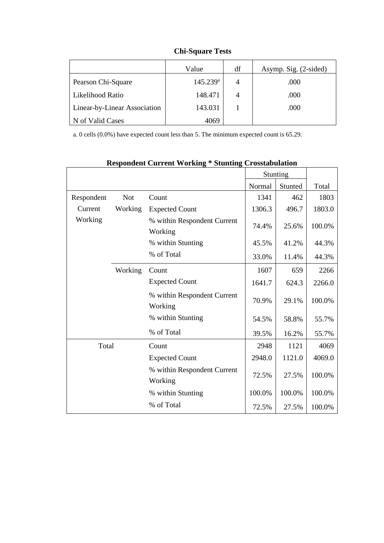|                              | Value                | df | Asymp. Sig. (2-sided) |
|------------------------------|----------------------|----|-----------------------|
| Pearson Chi-Square           | $145.239^{\text{a}}$ | 4  | .000                  |
| Likelihood Ratio             | 148.471              | 4  | .000                  |
| Linear-by-Linear Association | 143.031              |    | .000                  |
| N of Valid Cases             | 4069                 |    |                       |

**Chi-Square Tests**

a. 0 cells (0.0%) have expected count less than 5. The minimum expected count is 65.29.

|            |            |                                        |        | Stunting |        |
|------------|------------|----------------------------------------|--------|----------|--------|
|            |            |                                        | Normal | Stunted  | Total  |
| Respondent | <b>Not</b> | Count                                  | 1341   | 462      | 1803   |
| Current    | Working    | <b>Expected Count</b>                  | 1306.3 | 496.7    | 1803.0 |
| Working    |            | % within Respondent Current<br>Working | 74.4%  | 25.6%    | 100.0% |
|            |            | % within Stunting                      | 45.5%  | 41.2%    | 44.3%  |
|            |            | % of Total                             | 33.0%  | 11.4%    | 44.3%  |
|            | Working    | Count                                  | 1607   | 659      | 2266   |
|            |            | <b>Expected Count</b>                  | 1641.7 | 624.3    | 2266.0 |
|            |            | % within Respondent Current<br>Working | 70.9%  | 29.1%    | 100.0% |
|            |            | % within Stunting                      | 54.5%  | 58.8%    | 55.7%  |
|            |            | % of Total                             | 39.5%  | 16.2%    | 55.7%  |
| Total      |            | Count                                  | 2948   | 1121     | 4069   |
|            |            | <b>Expected Count</b>                  | 2948.0 | 1121.0   | 4069.0 |
|            |            | % within Respondent Current<br>Working | 72.5%  | 27.5%    | 100.0% |
|            |            | % within Stunting                      | 100.0% | 100.0%   | 100.0% |
|            |            | % of Total                             | 72.5%  | 27.5%    | 100.0% |

## **Respondent Current Working \* Stunting Crosstabulation**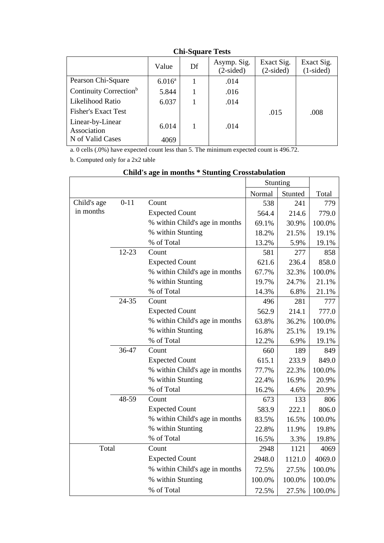|                                    | Value           | Df | Asymp. Sig.<br>$(2-sided)$ | Exact Sig.<br>$(2-sided)$ | Exact Sig.<br>$(1-sided)$ |
|------------------------------------|-----------------|----|----------------------------|---------------------------|---------------------------|
| Pearson Chi-Square                 | $6.016^{\rm a}$ |    | .014                       |                           |                           |
| Continuity Correction <sup>b</sup> | 5.844           |    | .016                       |                           |                           |
| Likelihood Ratio                   | 6.037           |    | .014                       |                           |                           |
| <b>Fisher's Exact Test</b>         |                 |    |                            | .015                      | .008                      |
| Linear-by-Linear<br>Association    | 6.014           |    | .014                       |                           |                           |
| N of Valid Cases                   | 4069            |    |                            |                           |                           |

#### **Chi-Square Tests**

a. 0 cells (.0%) have expected count less than 5. The minimum expected count is 496.72.

b. Computed only for a 2x2 table

|             |           |                                | Stunting |         |        |
|-------------|-----------|--------------------------------|----------|---------|--------|
|             |           |                                | Normal   | Stunted | Total  |
| Child's age | $0 - 11$  | Count                          | 538      | 241     | 779    |
| in months   |           | <b>Expected Count</b>          | 564.4    | 214.6   | 779.0  |
|             |           | % within Child's age in months | 69.1%    | 30.9%   | 100.0% |
|             |           | % within Stunting              | 18.2%    | 21.5%   | 19.1%  |
|             |           | % of Total                     | 13.2%    | 5.9%    | 19.1%  |
|             | $12 - 23$ | Count                          | 581      | 277     | 858    |
|             |           | <b>Expected Count</b>          | 621.6    | 236.4   | 858.0  |
|             |           | % within Child's age in months | 67.7%    | 32.3%   | 100.0% |
|             |           | % within Stunting              | 19.7%    | 24.7%   | 21.1%  |
|             |           | % of Total                     | 14.3%    | 6.8%    | 21.1%  |
|             | 24-35     | Count                          | 496      | 281     | 777    |
|             |           | <b>Expected Count</b>          | 562.9    | 214.1   | 777.0  |
|             |           | % within Child's age in months | 63.8%    | 36.2%   | 100.0% |
|             |           | % within Stunting              | 16.8%    | 25.1%   | 19.1%  |
|             |           | % of Total                     | 12.2%    | 6.9%    | 19.1%  |
|             | 36-47     | Count                          | 660      | 189     | 849    |
|             |           | <b>Expected Count</b>          | 615.1    | 233.9   | 849.0  |
|             |           | % within Child's age in months | 77.7%    | 22.3%   | 100.0% |
|             |           | % within Stunting              | 22.4%    | 16.9%   | 20.9%  |
|             |           | % of Total                     | 16.2%    | 4.6%    | 20.9%  |
|             | 48-59     | Count                          | 673      | 133     | 806    |
|             |           | <b>Expected Count</b>          | 583.9    | 222.1   | 806.0  |
|             |           | % within Child's age in months | 83.5%    | 16.5%   | 100.0% |
|             |           | % within Stunting              | 22.8%    | 11.9%   | 19.8%  |
|             |           | % of Total                     | 16.5%    | 3.3%    | 19.8%  |
| Total       |           | Count                          | 2948     | 1121    | 4069   |
|             |           | <b>Expected Count</b>          | 2948.0   | 1121.0  | 4069.0 |
|             |           | % within Child's age in months | 72.5%    | 27.5%   | 100.0% |
|             |           | % within Stunting              | 100.0%   | 100.0%  | 100.0% |
|             |           | % of Total                     | 72.5%    | 27.5%   | 100.0% |

# **Child's age in months \* Stunting Crosstabulation**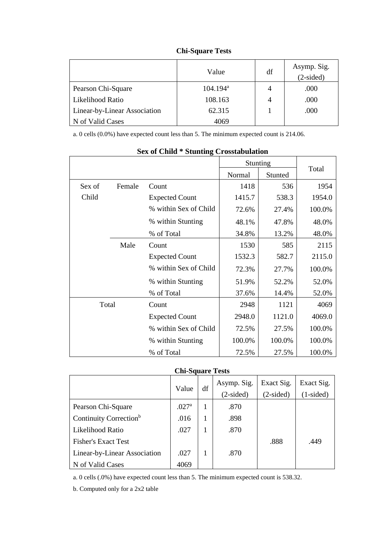|                              | Value       | df | Asymp. Sig.<br>$(2-sided)$ |
|------------------------------|-------------|----|----------------------------|
| Pearson Chi-Square           | $104.194^a$ | 4  | .000                       |
| Likelihood Ratio             | 108.163     | 4  | .000                       |
| Linear-by-Linear Association | 62.315      |    | .000                       |
| N of Valid Cases             | 4069        |    |                            |

#### **Chi-Square Tests**

a. 0 cells (0.0%) have expected count less than 5. The minimum expected count is 214.06.

| <b>DUA VI CHIN</b><br>$O$ can $\mathbf{m}$ $\mathbf{S}$ $\mathbf{S}$ $\mathbf{S}$ $\mathbf{S}$ $\mathbf{S}$ $\mathbf{S}$ $\mathbf{S}$ $\mathbf{S}$ $\mathbf{S}$ $\mathbf{S}$ $\mathbf{S}$ $\mathbf{S}$ $\mathbf{S}$ $\mathbf{S}$ $\mathbf{S}$ $\mathbf{S}$ $\mathbf{S}$ $\mathbf{S}$ $\mathbf{S}$ $\mathbf{S}$ $\mathbf{S}$ $\mathbf{S}$ $\mathbf{S$ |        |                       |          |         |        |  |  |
|------------------------------------------------------------------------------------------------------------------------------------------------------------------------------------------------------------------------------------------------------------------------------------------------------------------------------------------------------|--------|-----------------------|----------|---------|--------|--|--|
|                                                                                                                                                                                                                                                                                                                                                      |        |                       | Stunting |         |        |  |  |
|                                                                                                                                                                                                                                                                                                                                                      |        |                       | Normal   | Stunted | Total  |  |  |
| Sex of                                                                                                                                                                                                                                                                                                                                               | Female | Count                 | 1418     | 536     | 1954   |  |  |
| Child                                                                                                                                                                                                                                                                                                                                                |        | <b>Expected Count</b> | 1415.7   | 538.3   | 1954.0 |  |  |
|                                                                                                                                                                                                                                                                                                                                                      |        | % within Sex of Child | 72.6%    | 27.4%   | 100.0% |  |  |
|                                                                                                                                                                                                                                                                                                                                                      |        | % within Stunting     | 48.1%    | 47.8%   | 48.0%  |  |  |
|                                                                                                                                                                                                                                                                                                                                                      |        | % of Total            | 34.8%    | 13.2%   | 48.0%  |  |  |
|                                                                                                                                                                                                                                                                                                                                                      | Male   | Count                 | 1530     | 585     | 2115   |  |  |
|                                                                                                                                                                                                                                                                                                                                                      |        | <b>Expected Count</b> | 1532.3   | 582.7   | 2115.0 |  |  |
|                                                                                                                                                                                                                                                                                                                                                      |        | % within Sex of Child | 72.3%    | 27.7%   | 100.0% |  |  |
|                                                                                                                                                                                                                                                                                                                                                      |        | % within Stunting     | 51.9%    | 52.2%   | 52.0%  |  |  |
|                                                                                                                                                                                                                                                                                                                                                      |        | % of Total            | 37.6%    | 14.4%   | 52.0%  |  |  |
| Total                                                                                                                                                                                                                                                                                                                                                |        | Count                 | 2948     | 1121    | 4069   |  |  |
|                                                                                                                                                                                                                                                                                                                                                      |        | <b>Expected Count</b> | 2948.0   | 1121.0  | 4069.0 |  |  |
|                                                                                                                                                                                                                                                                                                                                                      |        | % within Sex of Child | 72.5%    | 27.5%   | 100.0% |  |  |
|                                                                                                                                                                                                                                                                                                                                                      |        | % within Stunting     | 100.0%   | 100.0%  | 100.0% |  |  |
|                                                                                                                                                                                                                                                                                                                                                      |        | % of Total            | 72.5%    | 27.5%   | 100.0% |  |  |

#### **Sex of Child \* Stunting Crosstabulation**

#### **Chi-Square Tests**

|                                    | Value             | df | Asymp. Sig.<br>$(2-sided)$ | Exact Sig.<br>$(2-sided)$ | Exact Sig.<br>$(1-sided)$ |
|------------------------------------|-------------------|----|----------------------------|---------------------------|---------------------------|
| Pearson Chi-Square                 | .027 <sup>a</sup> |    | .870                       |                           |                           |
| Continuity Correction <sup>b</sup> | .016              | 1  | .898                       |                           |                           |
| Likelihood Ratio                   | .027              |    | .870                       |                           |                           |
| <b>Fisher's Exact Test</b>         |                   |    |                            | .888                      | .449                      |
| Linear-by-Linear Association       | .027              |    | .870                       |                           |                           |
| N of Valid Cases                   | 4069              |    |                            |                           |                           |

a. 0 cells (.0%) have expected count less than 5. The minimum expected count is 538.32.

b. Computed only for a 2x2 table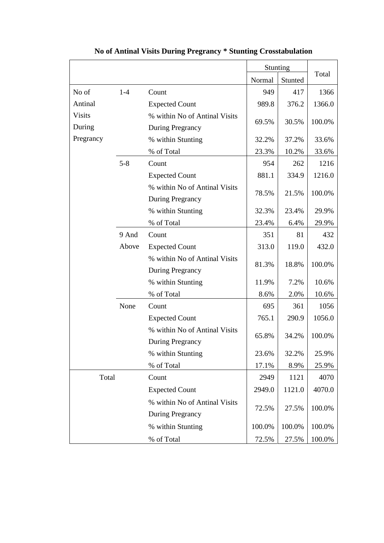|               |         |                               | Stunting |         |        |
|---------------|---------|-------------------------------|----------|---------|--------|
|               |         |                               | Normal   | Stunted | Total  |
| No of         | $1 - 4$ | Count                         | 949      | 417     | 1366   |
| Antinal       |         | <b>Expected Count</b>         | 989.8    | 376.2   | 1366.0 |
| <b>Visits</b> |         | % within No of Antinal Visits |          |         |        |
| During        |         | During Pregrancy              | 69.5%    | 30.5%   | 100.0% |
| Pregrancy     |         | % within Stunting             | 32.2%    | 37.2%   | 33.6%  |
|               |         | % of Total                    | 23.3%    | 10.2%   | 33.6%  |
|               | $5 - 8$ | Count                         | 954      | 262     | 1216   |
|               |         | <b>Expected Count</b>         | 881.1    | 334.9   | 1216.0 |
|               |         | % within No of Antinal Visits |          |         |        |
|               |         | During Pregrancy              | 78.5%    | 21.5%   | 100.0% |
|               |         | % within Stunting             | 32.3%    | 23.4%   | 29.9%  |
|               |         | % of Total                    | 23.4%    | 6.4%    | 29.9%  |
|               | 9 And   | Count                         | 351      | 81      | 432    |
|               | Above   | <b>Expected Count</b>         | 313.0    | 119.0   | 432.0  |
|               |         | % within No of Antinal Visits | 81.3%    | 18.8%   | 100.0% |
|               |         | <b>During Pregrancy</b>       |          |         |        |
|               |         | % within Stunting             | 11.9%    | 7.2%    | 10.6%  |
|               |         | % of Total                    | 8.6%     | 2.0%    | 10.6%  |
|               | None    | Count                         | 695      | 361     | 1056   |
|               |         | <b>Expected Count</b>         | 765.1    | 290.9   | 1056.0 |
|               |         | % within No of Antinal Visits |          |         |        |
|               |         | During Pregrancy              | 65.8%    | 34.2%   | 100.0% |
|               |         | % within Stunting             | 23.6%    | 32.2%   | 25.9%  |
|               |         | % of Total                    | 17.1%    | 8.9%    | 25.9%  |
| Total         |         | Count                         | 2949     | 1121    | 4070   |
|               |         | <b>Expected Count</b>         | 2949.0   | 1121.0  | 4070.0 |
|               |         | % within No of Antinal Visits |          |         |        |
|               |         | <b>During Pregrancy</b>       | 72.5%    | 27.5%   | 100.0% |
|               |         | % within Stunting             | 100.0%   | 100.0%  | 100.0% |
|               |         | % of Total                    | 72.5%    | 27.5%   | 100.0% |

**No of Antinal Visits During Pregrancy \* Stunting Crosstabulation**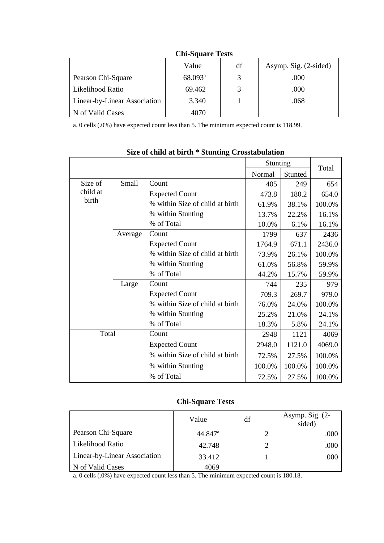|                              | Value                 | df | Asymp. Sig. (2-sided) |  |  |  |  |
|------------------------------|-----------------------|----|-----------------------|--|--|--|--|
| Pearson Chi-Square           | $68.093$ <sup>a</sup> |    | .000                  |  |  |  |  |
| Likelihood Ratio             | 69.462                |    | .000                  |  |  |  |  |
| Linear-by-Linear Association | 3.340                 |    | .068                  |  |  |  |  |
| N of Valid Cases             | 4070                  |    |                       |  |  |  |  |

**Chi-Square Tests**

a. 0 cells (.0%) have expected count less than 5. The minimum expected count is 118.99.

|         |                                 |        |         | Total    |
|---------|---------------------------------|--------|---------|----------|
|         |                                 | Normal | Stunted |          |
| Small   | Count                           | 405    | 249     | 654      |
|         | <b>Expected Count</b>           | 473.8  | 180.2   | 654.0    |
|         | % within Size of child at birth | 61.9%  | 38.1%   | 100.0%   |
|         | % within Stunting               | 13.7%  | 22.2%   | 16.1%    |
|         | % of Total                      | 10.0%  | 6.1%    | 16.1%    |
| Average | Count                           | 1799   | 637     | 2436     |
|         | <b>Expected Count</b>           | 1764.9 | 671.1   | 2436.0   |
|         | % within Size of child at birth | 73.9%  | 26.1%   | 100.0%   |
|         | % within Stunting               | 61.0%  | 56.8%   | 59.9%    |
|         | % of Total                      | 44.2%  | 15.7%   | 59.9%    |
| Large   | Count                           | 744    | 235     | 979      |
|         | <b>Expected Count</b>           | 709.3  | 269.7   | 979.0    |
|         | % within Size of child at birth | 76.0%  | 24.0%   | 100.0%   |
|         | % within Stunting               | 25.2%  | 21.0%   | 24.1%    |
|         | % of Total                      | 18.3%  | 5.8%    | 24.1%    |
| Total   | Count                           | 2948   | 1121    | 4069     |
|         | <b>Expected Count</b>           | 2948.0 | 1121.0  | 4069.0   |
|         | % within Size of child at birth | 72.5%  | 27.5%   | 100.0%   |
|         | % within Stunting               | 100.0% | 100.0%  | 100.0%   |
|         | % of Total                      | 72.5%  | 27.5%   | 100.0%   |
|         |                                 |        |         | Stunting |

#### **Size of child at birth \* Stunting Crosstabulation**

# **Chi-Square Tests**

|                              | Value                 | df | Asymp. Sig. $(2-$<br>sided) |
|------------------------------|-----------------------|----|-----------------------------|
| Pearson Chi-Square           | $44.847$ <sup>a</sup> | າ  | .000                        |
| Likelihood Ratio             | 42.748                | 2  | .000                        |
| Linear-by-Linear Association | 33.412                |    | .000                        |
| N of Valid Cases             | 4069                  |    |                             |

a. 0 cells (.0%) have expected count less than 5. The minimum expected count is 180.18.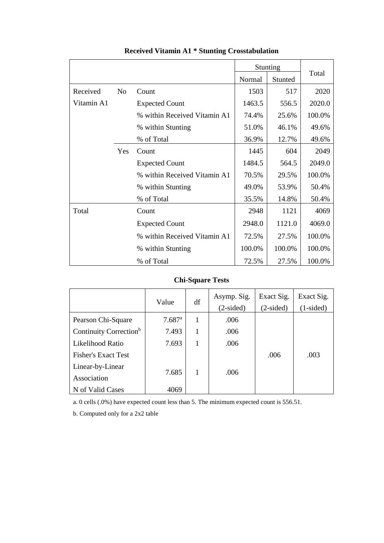|            |                |                              | Stunting |         |        |
|------------|----------------|------------------------------|----------|---------|--------|
|            |                |                              | Normal   | Stunted | Total  |
| Received   | N <sub>0</sub> | Count                        | 1503     | 517     | 2020   |
| Vitamin A1 |                | <b>Expected Count</b>        | 1463.5   | 556.5   | 2020.0 |
|            |                | % within Received Vitamin A1 | 74.4%    | 25.6%   | 100.0% |
|            |                | % within Stunting            | 51.0%    | 46.1%   | 49.6%  |
|            |                | % of Total                   | 36.9%    | 12.7%   | 49.6%  |
|            | Yes            | Count                        | 1445     | 604     | 2049   |
|            |                | <b>Expected Count</b>        | 1484.5   | 564.5   | 2049.0 |
|            |                | % within Received Vitamin A1 | 70.5%    | 29.5%   | 100.0% |
|            |                | % within Stunting            | 49.0%    | 53.9%   | 50.4%  |
|            |                | % of Total                   | 35.5%    | 14.8%   | 50.4%  |
| Total      |                | Count                        | 2948     | 1121    | 4069   |
|            |                | <b>Expected Count</b>        | 2948.0   | 1121.0  | 4069.0 |
|            |                | % within Received Vitamin A1 | 72.5%    | 27.5%   | 100.0% |
|            |                | % within Stunting            | 100.0%   | 100.0%  | 100.0% |
|            |                | % of Total                   | 72.5%    | 27.5%   | 100.0% |

# **Received Vitamin A1 \* Stunting Crosstabulation**

# **Chi-Square Tests**

|                                    | Value                | df | Asymp. Sig.<br>$(2-sided)$ | Exact Sig.<br>$(2-sided)$ | Exact Sig.<br>$(1-sided)$ |
|------------------------------------|----------------------|----|----------------------------|---------------------------|---------------------------|
| Pearson Chi-Square                 | $7.687$ <sup>a</sup> | 1  | .006                       |                           |                           |
| Continuity Correction <sup>b</sup> | 7.493                | 1  | .006                       |                           |                           |
| Likelihood Ratio                   | 7.693                | 1  | .006                       |                           |                           |
| <b>Fisher's Exact Test</b>         |                      |    |                            | .006                      | .003                      |
| Linear-by-Linear                   |                      |    |                            |                           |                           |
| Association                        | 7.685                | 1  | .006                       |                           |                           |
| N of Valid Cases                   | 4069                 |    |                            |                           |                           |

a. 0 cells (.0%) have expected count less than 5. The minimum expected count is 556.51.

b. Computed only for a 2x2 table